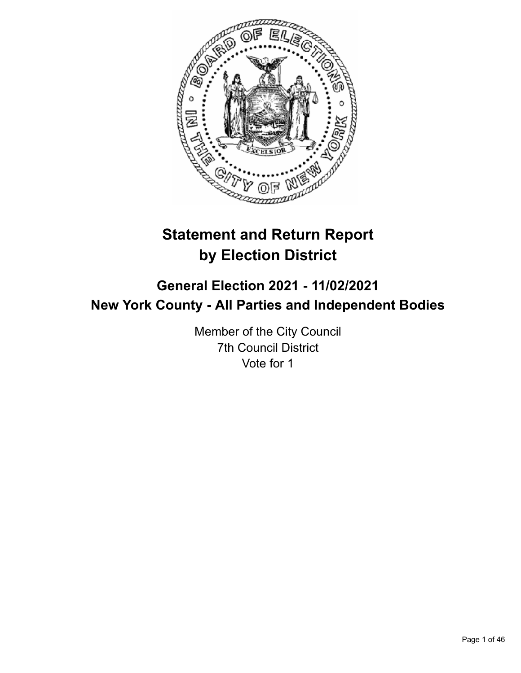

# **Statement and Return Report by Election District**

# **General Election 2021 - 11/02/2021 New York County - All Parties and Independent Bodies**

Member of the City Council 7th Council District Vote for 1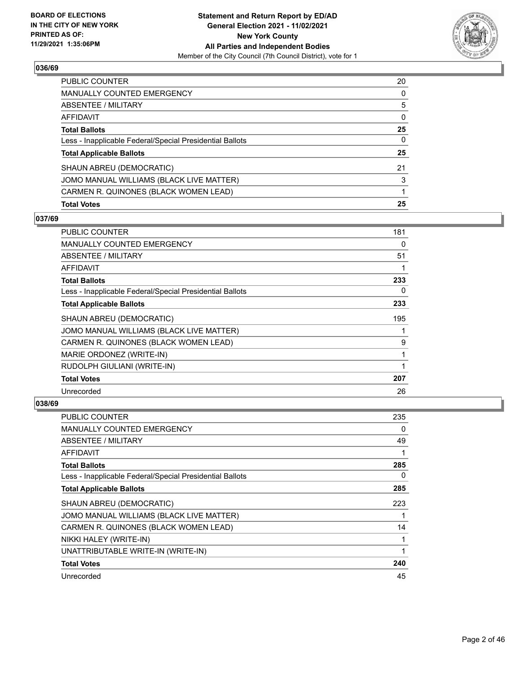

| PUBLIC COUNTER                                           | 20 |
|----------------------------------------------------------|----|
| <b>MANUALLY COUNTED EMERGENCY</b>                        | 0  |
| <b>ABSENTEE / MILITARY</b>                               | 5  |
| AFFIDAVIT                                                | 0  |
| <b>Total Ballots</b>                                     | 25 |
| Less - Inapplicable Federal/Special Presidential Ballots | 0  |
| <b>Total Applicable Ballots</b>                          | 25 |
| SHAUN ABREU (DEMOCRATIC)                                 | 21 |
| JOMO MANUAL WILLIAMS (BLACK LIVE MATTER)                 | 3  |
| CARMEN R. QUINONES (BLACK WOMEN LEAD)                    |    |
| <b>Total Votes</b>                                       | 25 |

#### **037/69**

| PUBLIC COUNTER                                           | 181 |
|----------------------------------------------------------|-----|
| <b>MANUALLY COUNTED EMERGENCY</b>                        | 0   |
| ABSENTEE / MILITARY                                      | 51  |
| <b>AFFIDAVIT</b>                                         | 1   |
| <b>Total Ballots</b>                                     | 233 |
| Less - Inapplicable Federal/Special Presidential Ballots | 0   |
| <b>Total Applicable Ballots</b>                          | 233 |
| SHAUN ABREU (DEMOCRATIC)                                 | 195 |
| JOMO MANUAL WILLIAMS (BLACK LIVE MATTER)                 |     |
| CARMEN R. QUINONES (BLACK WOMEN LEAD)                    | 9   |
| MARIE ORDONEZ (WRITE-IN)                                 | 1   |
| RUDOLPH GIULIANI (WRITE-IN)                              |     |
| <b>Total Votes</b>                                       | 207 |
| Unrecorded                                               | 26  |

| <b>PUBLIC COUNTER</b>                                    | 235 |
|----------------------------------------------------------|-----|
| MANUALLY COUNTED EMERGENCY                               | 0   |
| ABSENTEE / MILITARY                                      | 49  |
| AFFIDAVIT                                                | 1   |
| <b>Total Ballots</b>                                     | 285 |
| Less - Inapplicable Federal/Special Presidential Ballots | 0   |
| <b>Total Applicable Ballots</b>                          | 285 |
| SHAUN ABREU (DEMOCRATIC)                                 | 223 |
| JOMO MANUAL WILLIAMS (BLACK LIVE MATTER)                 |     |
| CARMEN R. QUINONES (BLACK WOMEN LEAD)                    | 14  |
| NIKKI HALEY (WRITE-IN)                                   | 1   |
| UNATTRIBUTABLE WRITE-IN (WRITE-IN)                       | 1   |
| <b>Total Votes</b>                                       | 240 |
| Unrecorded                                               | 45  |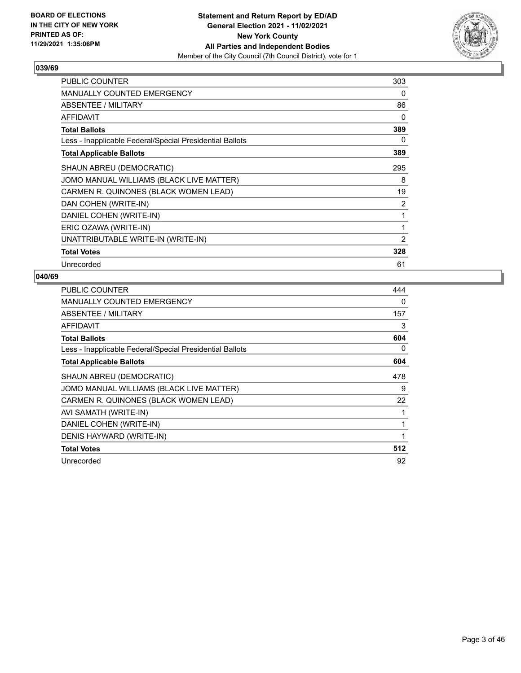

| <b>PUBLIC COUNTER</b>                                    | 303            |
|----------------------------------------------------------|----------------|
| <b>MANUALLY COUNTED EMERGENCY</b>                        | 0              |
| ABSENTEE / MILITARY                                      | 86             |
| <b>AFFIDAVIT</b>                                         | 0              |
| <b>Total Ballots</b>                                     | 389            |
| Less - Inapplicable Federal/Special Presidential Ballots | 0              |
| <b>Total Applicable Ballots</b>                          | 389            |
| SHAUN ABREU (DEMOCRATIC)                                 | 295            |
| JOMO MANUAL WILLIAMS (BLACK LIVE MATTER)                 | 8              |
| CARMEN R. QUINONES (BLACK WOMEN LEAD)                    | 19             |
| DAN COHEN (WRITE-IN)                                     | 2              |
| DANIEL COHEN (WRITE-IN)                                  | 1              |
| ERIC OZAWA (WRITE-IN)                                    | 1              |
| UNATTRIBUTABLE WRITE-IN (WRITE-IN)                       | $\overline{2}$ |
| <b>Total Votes</b>                                       | 328            |
| Unrecorded                                               | 61             |

| <b>PUBLIC COUNTER</b>                                    | 444 |
|----------------------------------------------------------|-----|
| MANUALLY COUNTED EMERGENCY                               | 0   |
| ABSENTEE / MILITARY                                      | 157 |
| <b>AFFIDAVIT</b>                                         | 3   |
| <b>Total Ballots</b>                                     | 604 |
| Less - Inapplicable Federal/Special Presidential Ballots | 0   |
| <b>Total Applicable Ballots</b>                          | 604 |
| SHAUN ABREU (DEMOCRATIC)                                 | 478 |
| JOMO MANUAL WILLIAMS (BLACK LIVE MATTER)                 | 9   |
| CARMEN R. QUINONES (BLACK WOMEN LEAD)                    | 22  |
| AVI SAMATH (WRITE-IN)                                    | 1   |
| DANIEL COHEN (WRITE-IN)                                  | 1   |
| DENIS HAYWARD (WRITE-IN)                                 | 1   |
| <b>Total Votes</b>                                       | 512 |
| Unrecorded                                               | 92  |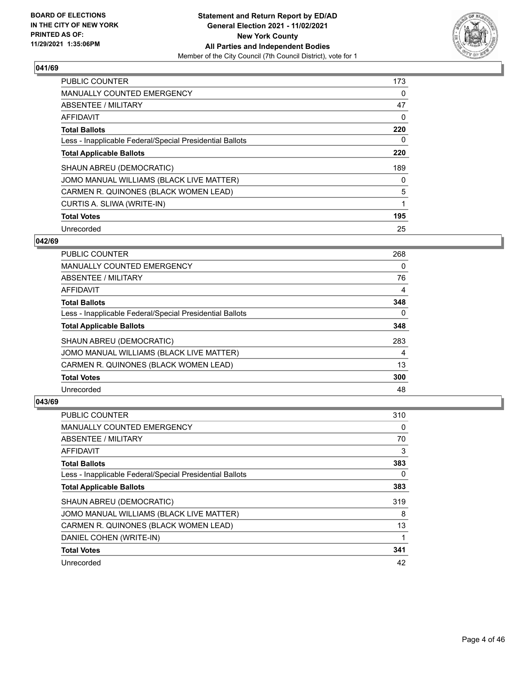

| <b>PUBLIC COUNTER</b>                                    | 173 |
|----------------------------------------------------------|-----|
| <b>MANUALLY COUNTED EMERGENCY</b>                        | 0   |
| ABSENTEE / MILITARY                                      | 47  |
| <b>AFFIDAVIT</b>                                         | 0   |
| <b>Total Ballots</b>                                     | 220 |
| Less - Inapplicable Federal/Special Presidential Ballots | 0   |
| <b>Total Applicable Ballots</b>                          | 220 |
| SHAUN ABREU (DEMOCRATIC)                                 | 189 |
| JOMO MANUAL WILLIAMS (BLACK LIVE MATTER)                 | 0   |
| CARMEN R. QUINONES (BLACK WOMEN LEAD)                    | 5   |
| CURTIS A. SLIWA (WRITE-IN)                               |     |
| <b>Total Votes</b>                                       | 195 |
| Unrecorded                                               | 25  |

## **042/69**

| <b>PUBLIC COUNTER</b>                                    | 268      |
|----------------------------------------------------------|----------|
| <b>MANUALLY COUNTED EMERGENCY</b>                        | 0        |
| ABSENTEE / MILITARY                                      | 76       |
| <b>AFFIDAVIT</b>                                         | 4        |
| <b>Total Ballots</b>                                     | 348      |
| Less - Inapplicable Federal/Special Presidential Ballots | $\Omega$ |
| <b>Total Applicable Ballots</b>                          | 348      |
| SHAUN ABREU (DEMOCRATIC)                                 | 283      |
| JOMO MANUAL WILLIAMS (BLACK LIVE MATTER)                 | 4        |
| CARMEN R. QUINONES (BLACK WOMEN LEAD)                    | 13       |
| <b>Total Votes</b>                                       | 300      |
| Unrecorded                                               | 48       |

| <b>PUBLIC COUNTER</b>                                    | 310 |
|----------------------------------------------------------|-----|
| MANUALLY COUNTED EMERGENCY                               | 0   |
| ABSENTEE / MILITARY                                      | 70  |
| AFFIDAVIT                                                | 3   |
| <b>Total Ballots</b>                                     | 383 |
| Less - Inapplicable Federal/Special Presidential Ballots | 0   |
| <b>Total Applicable Ballots</b>                          | 383 |
| SHAUN ABREU (DEMOCRATIC)                                 | 319 |
| JOMO MANUAL WILLIAMS (BLACK LIVE MATTER)                 | 8   |
| CARMEN R. QUINONES (BLACK WOMEN LEAD)                    | 13  |
| DANIEL COHEN (WRITE-IN)                                  | 1   |
| <b>Total Votes</b>                                       | 341 |
| Unrecorded                                               | 42  |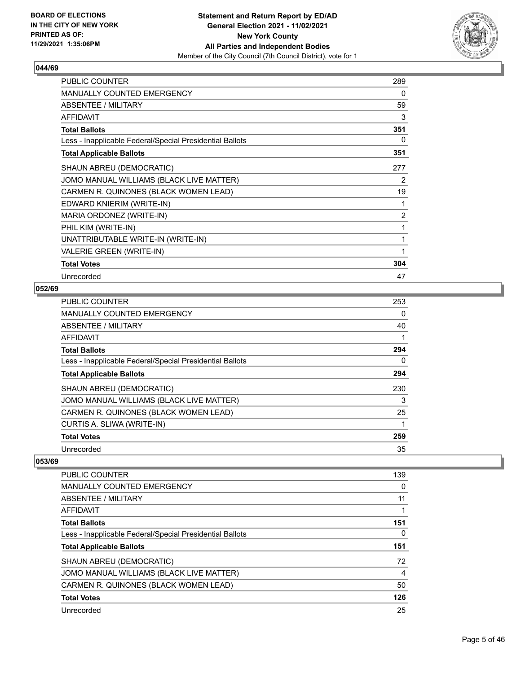

| <b>PUBLIC COUNTER</b>                                    | 289 |
|----------------------------------------------------------|-----|
| <b>MANUALLY COUNTED EMERGENCY</b>                        | 0   |
| <b>ABSENTEE / MILITARY</b>                               | 59  |
| <b>AFFIDAVIT</b>                                         | 3   |
| <b>Total Ballots</b>                                     | 351 |
| Less - Inapplicable Federal/Special Presidential Ballots | 0   |
| <b>Total Applicable Ballots</b>                          | 351 |
| SHAUN ABREU (DEMOCRATIC)                                 | 277 |
| JOMO MANUAL WILLIAMS (BLACK LIVE MATTER)                 | 2   |
| CARMEN R. QUINONES (BLACK WOMEN LEAD)                    | 19  |
| EDWARD KNIERIM (WRITE-IN)                                | 1   |
| MARIA ORDONEZ (WRITE-IN)                                 | 2   |
| PHIL KIM (WRITE-IN)                                      | 1   |
| UNATTRIBUTABLE WRITE-IN (WRITE-IN)                       | 1   |
| VALERIE GREEN (WRITE-IN)                                 | 1   |
| <b>Total Votes</b>                                       | 304 |
| Unrecorded                                               | 47  |

## **052/69**

| <b>PUBLIC COUNTER</b>                                    | 253 |
|----------------------------------------------------------|-----|
| <b>MANUALLY COUNTED EMERGENCY</b>                        | 0   |
| ABSENTEE / MILITARY                                      | 40  |
| <b>AFFIDAVIT</b>                                         |     |
| <b>Total Ballots</b>                                     | 294 |
| Less - Inapplicable Federal/Special Presidential Ballots | 0   |
| <b>Total Applicable Ballots</b>                          | 294 |
| SHAUN ABREU (DEMOCRATIC)                                 | 230 |
| JOMO MANUAL WILLIAMS (BLACK LIVE MATTER)                 | 3   |
| CARMEN R. QUINONES (BLACK WOMEN LEAD)                    | 25  |
| CURTIS A. SLIWA (WRITE-IN)                               | 1   |
| <b>Total Votes</b>                                       | 259 |
| Unrecorded                                               | 35  |

| PUBLIC COUNTER                                           | 139 |
|----------------------------------------------------------|-----|
| <b>MANUALLY COUNTED EMERGENCY</b>                        | 0   |
| ABSENTEE / MILITARY                                      | 11  |
| AFFIDAVIT                                                |     |
| <b>Total Ballots</b>                                     | 151 |
| Less - Inapplicable Federal/Special Presidential Ballots | 0   |
| <b>Total Applicable Ballots</b>                          | 151 |
| SHAUN ABREU (DEMOCRATIC)                                 | 72  |
| JOMO MANUAL WILLIAMS (BLACK LIVE MATTER)                 | 4   |
| CARMEN R. QUINONES (BLACK WOMEN LEAD)                    | 50  |
| <b>Total Votes</b>                                       | 126 |
| Unrecorded                                               | 25  |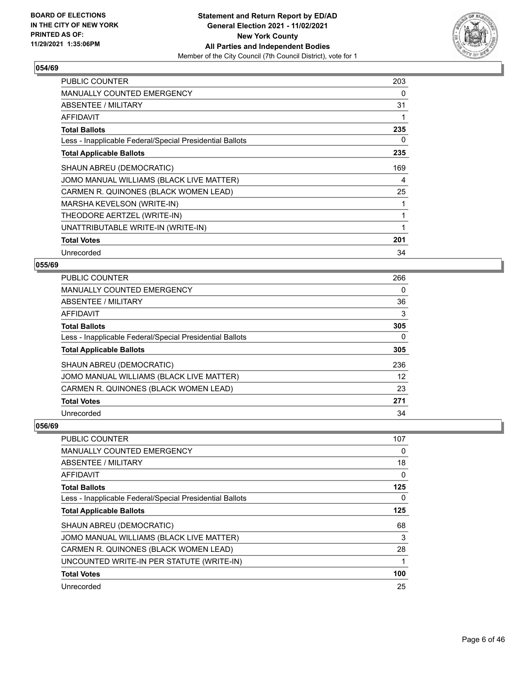

| <b>PUBLIC COUNTER</b>                                    | 203 |
|----------------------------------------------------------|-----|
| MANUALLY COUNTED EMERGENCY                               | 0   |
| ABSENTEE / MILITARY                                      | 31  |
| AFFIDAVIT                                                | 1   |
| <b>Total Ballots</b>                                     | 235 |
| Less - Inapplicable Federal/Special Presidential Ballots | 0   |
| <b>Total Applicable Ballots</b>                          | 235 |
| SHAUN ABREU (DEMOCRATIC)                                 | 169 |
| JOMO MANUAL WILLIAMS (BLACK LIVE MATTER)                 | 4   |
| CARMEN R. QUINONES (BLACK WOMEN LEAD)                    | 25  |
| MARSHA KEVELSON (WRITE-IN)                               | 1   |
| THEODORE AERTZEL (WRITE-IN)                              | 1   |
| UNATTRIBUTABLE WRITE-IN (WRITE-IN)                       | 1   |
| <b>Total Votes</b>                                       | 201 |
| Unrecorded                                               | 34  |

## **055/69**

| PUBLIC COUNTER                                           | 266               |
|----------------------------------------------------------|-------------------|
| <b>MANUALLY COUNTED EMERGENCY</b>                        | 0                 |
| <b>ABSENTEE / MILITARY</b>                               | 36                |
| <b>AFFIDAVIT</b>                                         | 3                 |
| <b>Total Ballots</b>                                     | 305               |
| Less - Inapplicable Federal/Special Presidential Ballots | 0                 |
| <b>Total Applicable Ballots</b>                          | 305               |
| SHAUN ABREU (DEMOCRATIC)                                 | 236               |
| JOMO MANUAL WILLIAMS (BLACK LIVE MATTER)                 | $12 \overline{ }$ |
| CARMEN R. QUINONES (BLACK WOMEN LEAD)                    | 23                |
| <b>Total Votes</b>                                       | 271               |
| Unrecorded                                               | 34                |

| PUBLIC COUNTER                                           | 107      |
|----------------------------------------------------------|----------|
| MANUALLY COUNTED EMERGENCY                               | 0        |
| <b>ABSENTEE / MILITARY</b>                               | 18       |
| AFFIDAVIT                                                | $\Omega$ |
| <b>Total Ballots</b>                                     | 125      |
| Less - Inapplicable Federal/Special Presidential Ballots | $\Omega$ |
| <b>Total Applicable Ballots</b>                          | 125      |
| SHAUN ABREU (DEMOCRATIC)                                 | 68       |
| JOMO MANUAL WILLIAMS (BLACK LIVE MATTER)                 | 3        |
| CARMEN R. QUINONES (BLACK WOMEN LEAD)                    | 28       |
| UNCOUNTED WRITE-IN PER STATUTE (WRITE-IN)                |          |
| <b>Total Votes</b>                                       | 100      |
| Unrecorded                                               | 25       |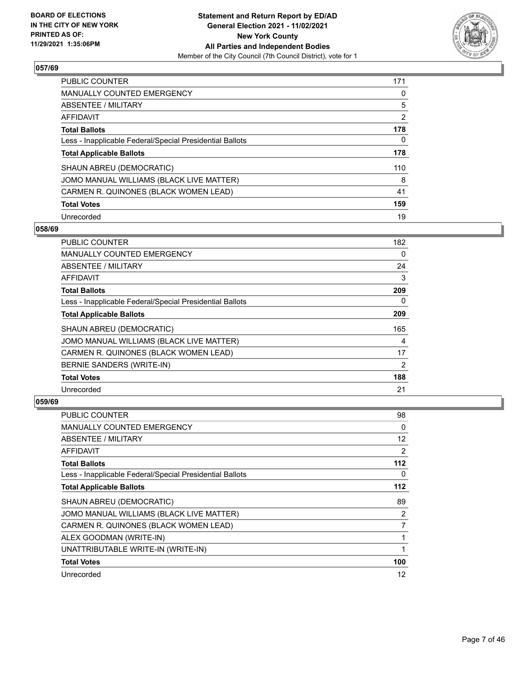

| <b>PUBLIC COUNTER</b>                                    | 171 |
|----------------------------------------------------------|-----|
| <b>MANUALLY COUNTED EMERGENCY</b>                        | 0   |
| ABSENTEE / MILITARY                                      | 5   |
| AFFIDAVIT                                                | 2   |
| <b>Total Ballots</b>                                     | 178 |
| Less - Inapplicable Federal/Special Presidential Ballots | 0   |
| <b>Total Applicable Ballots</b>                          | 178 |
| SHAUN ABREU (DEMOCRATIC)                                 | 110 |
| JOMO MANUAL WILLIAMS (BLACK LIVE MATTER)                 | 8   |
| CARMEN R. QUINONES (BLACK WOMEN LEAD)                    | 41  |
| <b>Total Votes</b>                                       | 159 |
| Unrecorded                                               | 19  |

#### **058/69**

| <b>PUBLIC COUNTER</b>                                    | 182      |
|----------------------------------------------------------|----------|
| MANUALLY COUNTED EMERGENCY                               | $\Omega$ |
| ABSENTEE / MILITARY                                      | 24       |
| AFFIDAVIT                                                | 3        |
| <b>Total Ballots</b>                                     | 209      |
| Less - Inapplicable Federal/Special Presidential Ballots | 0        |
| <b>Total Applicable Ballots</b>                          | 209      |
| SHAUN ABREU (DEMOCRATIC)                                 | 165      |
| JOMO MANUAL WILLIAMS (BLACK LIVE MATTER)                 | 4        |
| CARMEN R. QUINONES (BLACK WOMEN LEAD)                    | 17       |
| BERNIE SANDERS (WRITE-IN)                                | 2        |
| <b>Total Votes</b>                                       | 188      |
| Unrecorded                                               | 21       |

| <b>PUBLIC COUNTER</b>                                    | 98    |
|----------------------------------------------------------|-------|
| <b>MANUALLY COUNTED EMERGENCY</b>                        | 0     |
| ABSENTEE / MILITARY                                      | 12    |
| AFFIDAVIT                                                | 2     |
| <b>Total Ballots</b>                                     | 112   |
| Less - Inapplicable Federal/Special Presidential Ballots | 0     |
| <b>Total Applicable Ballots</b>                          | $112$ |
| SHAUN ABREU (DEMOCRATIC)                                 | 89    |
| JOMO MANUAL WILLIAMS (BLACK LIVE MATTER)                 | 2     |
| CARMEN R. QUINONES (BLACK WOMEN LEAD)                    | 7     |
| ALEX GOODMAN (WRITE-IN)                                  | 1     |
| UNATTRIBUTABLE WRITE-IN (WRITE-IN)                       |       |
| <b>Total Votes</b>                                       | 100   |
| Unrecorded                                               | 12    |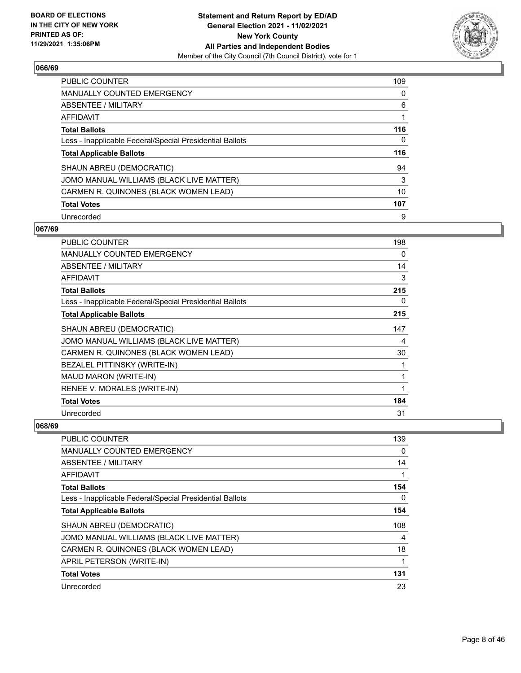

| <b>PUBLIC COUNTER</b>                                    | 109 |
|----------------------------------------------------------|-----|
| <b>MANUALLY COUNTED EMERGENCY</b>                        | 0   |
| ABSENTEE / MILITARY                                      | 6   |
| AFFIDAVIT                                                |     |
| <b>Total Ballots</b>                                     | 116 |
| Less - Inapplicable Federal/Special Presidential Ballots | 0   |
| <b>Total Applicable Ballots</b>                          | 116 |
| SHAUN ABREU (DEMOCRATIC)                                 | 94  |
| JOMO MANUAL WILLIAMS (BLACK LIVE MATTER)                 | 3   |
| CARMEN R. QUINONES (BLACK WOMEN LEAD)                    | 10  |
| <b>Total Votes</b>                                       | 107 |
| Unrecorded                                               | 9   |

#### **067/69**

| <b>PUBLIC COUNTER</b>                                    | 198 |
|----------------------------------------------------------|-----|
| <b>MANUALLY COUNTED EMERGENCY</b>                        | 0   |
| <b>ABSENTEE / MILITARY</b>                               | 14  |
| AFFIDAVIT                                                | 3   |
| <b>Total Ballots</b>                                     | 215 |
| Less - Inapplicable Federal/Special Presidential Ballots | 0   |
| <b>Total Applicable Ballots</b>                          | 215 |
| SHAUN ABREU (DEMOCRATIC)                                 | 147 |
| JOMO MANUAL WILLIAMS (BLACK LIVE MATTER)                 | 4   |
| CARMEN R. QUINONES (BLACK WOMEN LEAD)                    | 30  |
| BEZALEL PITTINSKY (WRITE-IN)                             | 1   |
| MAUD MARON (WRITE-IN)                                    | 1   |
| RENEE V. MORALES (WRITE-IN)                              | 1   |
| <b>Total Votes</b>                                       | 184 |
| Unrecorded                                               | 31  |

| PUBLIC COUNTER                                           | 139      |
|----------------------------------------------------------|----------|
| MANUALLY COUNTED EMERGENCY                               | $\Omega$ |
| ABSENTEE / MILITARY                                      | 14       |
| AFFIDAVIT                                                |          |
| <b>Total Ballots</b>                                     | 154      |
| Less - Inapplicable Federal/Special Presidential Ballots | $\Omega$ |
| <b>Total Applicable Ballots</b>                          | 154      |
| SHAUN ABREU (DEMOCRATIC)                                 | 108      |
| JOMO MANUAL WILLIAMS (BLACK LIVE MATTER)                 | 4        |
| CARMEN R. QUINONES (BLACK WOMEN LEAD)                    | 18       |
| APRIL PETERSON (WRITE-IN)                                |          |
| <b>Total Votes</b>                                       | 131      |
| Unrecorded                                               | 23       |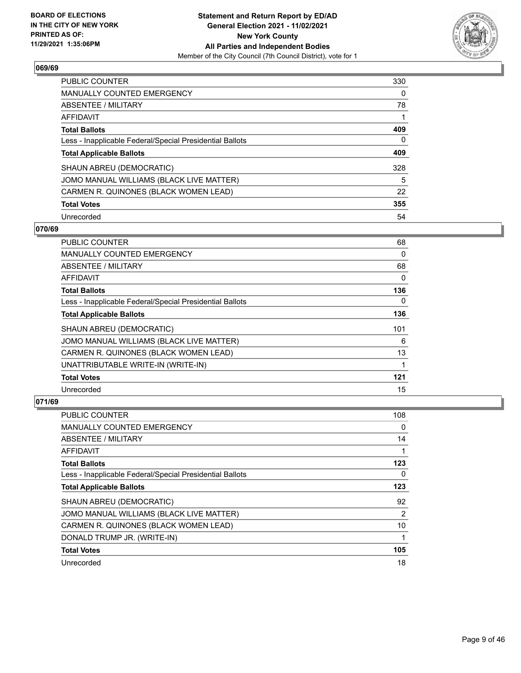

| <b>PUBLIC COUNTER</b>                                    | 330      |
|----------------------------------------------------------|----------|
| <b>MANUALLY COUNTED EMERGENCY</b>                        | $\Omega$ |
| ABSENTEE / MILITARY                                      | 78       |
| AFFIDAVIT                                                |          |
| <b>Total Ballots</b>                                     | 409      |
| Less - Inapplicable Federal/Special Presidential Ballots | 0        |
| <b>Total Applicable Ballots</b>                          | 409      |
| SHAUN ABREU (DEMOCRATIC)                                 | 328      |
| JOMO MANUAL WILLIAMS (BLACK LIVE MATTER)                 | 5        |
| CARMEN R. QUINONES (BLACK WOMEN LEAD)                    | 22       |
| <b>Total Votes</b>                                       | 355      |
| Unrecorded                                               | 54       |

#### **070/69**

| <b>PUBLIC COUNTER</b>                                    | 68       |
|----------------------------------------------------------|----------|
| <b>MANUALLY COUNTED EMERGENCY</b>                        | 0        |
| ABSENTEE / MILITARY                                      | 68       |
| <b>AFFIDAVIT</b>                                         | 0        |
| <b>Total Ballots</b>                                     | 136      |
| Less - Inapplicable Federal/Special Presidential Ballots | $\Omega$ |
| <b>Total Applicable Ballots</b>                          | 136      |
| SHAUN ABREU (DEMOCRATIC)                                 | 101      |
| JOMO MANUAL WILLIAMS (BLACK LIVE MATTER)                 | 6        |
| CARMEN R. QUINONES (BLACK WOMEN LEAD)                    | 13       |
| UNATTRIBUTABLE WRITE-IN (WRITE-IN)                       | 1        |
| <b>Total Votes</b>                                       | 121      |
| Unrecorded                                               | 15       |

| PUBLIC COUNTER                                           | 108 |
|----------------------------------------------------------|-----|
| <b>MANUALLY COUNTED EMERGENCY</b>                        | 0   |
| ABSENTEE / MILITARY                                      | 14  |
| AFFIDAVIT                                                |     |
| <b>Total Ballots</b>                                     | 123 |
| Less - Inapplicable Federal/Special Presidential Ballots | 0   |
| <b>Total Applicable Ballots</b>                          | 123 |
| SHAUN ABREU (DEMOCRATIC)                                 | 92  |
| JOMO MANUAL WILLIAMS (BLACK LIVE MATTER)                 | 2   |
| CARMEN R. QUINONES (BLACK WOMEN LEAD)                    | 10  |
| DONALD TRUMP JR. (WRITE-IN)                              | 1   |
| <b>Total Votes</b>                                       | 105 |
| Unrecorded                                               | 18  |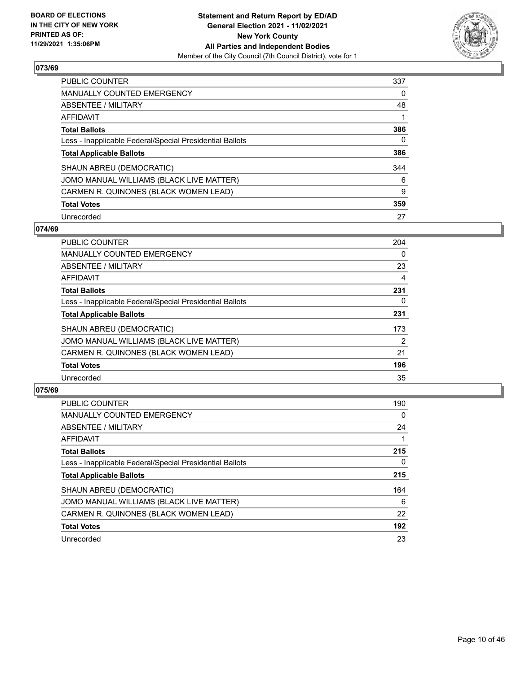

| <b>PUBLIC COUNTER</b>                                    | 337 |
|----------------------------------------------------------|-----|
| <b>MANUALLY COUNTED EMERGENCY</b>                        | 0   |
| ABSENTEE / MILITARY                                      | 48  |
| AFFIDAVIT                                                |     |
| <b>Total Ballots</b>                                     | 386 |
| Less - Inapplicable Federal/Special Presidential Ballots | 0   |
| <b>Total Applicable Ballots</b>                          | 386 |
| SHAUN ABREU (DEMOCRATIC)                                 | 344 |
| JOMO MANUAL WILLIAMS (BLACK LIVE MATTER)                 | 6   |
| CARMEN R. QUINONES (BLACK WOMEN LEAD)                    | 9   |
| <b>Total Votes</b>                                       | 359 |
|                                                          |     |

#### **074/69**

| <b>PUBLIC COUNTER</b>                                    | 204            |
|----------------------------------------------------------|----------------|
| <b>MANUALLY COUNTED EMERGENCY</b>                        | 0              |
| ABSENTEE / MILITARY                                      | 23             |
| <b>AFFIDAVIT</b>                                         | 4              |
| <b>Total Ballots</b>                                     | 231            |
| Less - Inapplicable Federal/Special Presidential Ballots | 0              |
| <b>Total Applicable Ballots</b>                          | 231            |
| SHAUN ABREU (DEMOCRATIC)                                 | 173            |
| JOMO MANUAL WILLIAMS (BLACK LIVE MATTER)                 | $\overline{2}$ |
| CARMEN R. QUINONES (BLACK WOMEN LEAD)                    | 21             |
| <b>Total Votes</b>                                       | 196            |
| Unrecorded                                               | 35             |

| <b>PUBLIC COUNTER</b>                                    | 190      |
|----------------------------------------------------------|----------|
| <b>MANUALLY COUNTED EMERGENCY</b>                        | $\Omega$ |
| ABSENTEE / MILITARY                                      | 24       |
| <b>AFFIDAVIT</b>                                         |          |
| <b>Total Ballots</b>                                     | 215      |
| Less - Inapplicable Federal/Special Presidential Ballots | 0        |
| <b>Total Applicable Ballots</b>                          | 215      |
| SHAUN ABREU (DEMOCRATIC)                                 | 164      |
| JOMO MANUAL WILLIAMS (BLACK LIVE MATTER)                 | 6        |
| CARMEN R. QUINONES (BLACK WOMEN LEAD)                    | 22       |
| <b>Total Votes</b>                                       | 192      |
| Unrecorded                                               | 23       |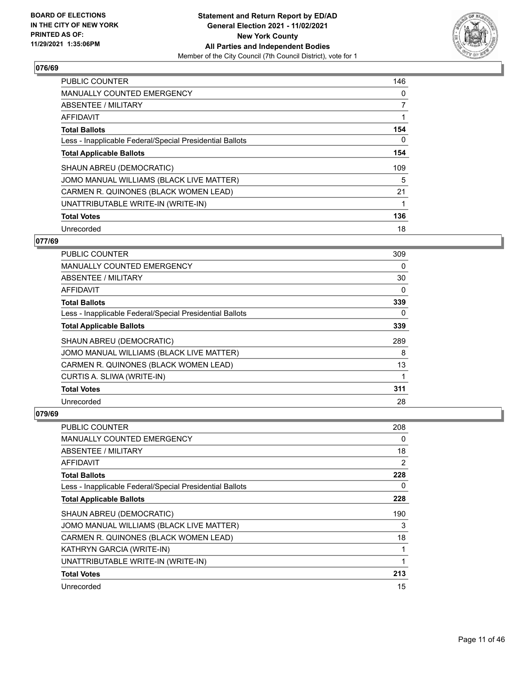

| <b>PUBLIC COUNTER</b>                                    | 146 |
|----------------------------------------------------------|-----|
| <b>MANUALLY COUNTED EMERGENCY</b>                        | 0   |
| ABSENTEE / MILITARY                                      | 7   |
| <b>AFFIDAVIT</b>                                         |     |
| <b>Total Ballots</b>                                     | 154 |
| Less - Inapplicable Federal/Special Presidential Ballots | 0   |
| <b>Total Applicable Ballots</b>                          | 154 |
| SHAUN ABREU (DEMOCRATIC)                                 | 109 |
| JOMO MANUAL WILLIAMS (BLACK LIVE MATTER)                 | 5   |
| CARMEN R. QUINONES (BLACK WOMEN LEAD)                    | 21  |
| UNATTRIBUTABLE WRITE-IN (WRITE-IN)                       |     |
| <b>Total Votes</b>                                       | 136 |
| Unrecorded                                               | 18  |

# **077/69**

| <b>PUBLIC COUNTER</b>                                    | 309      |
|----------------------------------------------------------|----------|
| <b>MANUALLY COUNTED EMERGENCY</b>                        | 0        |
| ABSENTEE / MILITARY                                      | 30       |
| AFFIDAVIT                                                | $\Omega$ |
| <b>Total Ballots</b>                                     | 339      |
| Less - Inapplicable Federal/Special Presidential Ballots | 0        |
| <b>Total Applicable Ballots</b>                          | 339      |
| SHAUN ABREU (DEMOCRATIC)                                 | 289      |
| JOMO MANUAL WILLIAMS (BLACK LIVE MATTER)                 | 8        |
| CARMEN R. QUINONES (BLACK WOMEN LEAD)                    | 13       |
| CURTIS A. SLIWA (WRITE-IN)                               |          |
| <b>Total Votes</b>                                       | 311      |
| Unrecorded                                               | 28       |

| <b>PUBLIC COUNTER</b>                                    | 208           |
|----------------------------------------------------------|---------------|
| <b>MANUALLY COUNTED EMERGENCY</b>                        | 0             |
| ABSENTEE / MILITARY                                      | 18            |
| AFFIDAVIT                                                | $\mathcal{P}$ |
| <b>Total Ballots</b>                                     | 228           |
| Less - Inapplicable Federal/Special Presidential Ballots | 0             |
| <b>Total Applicable Ballots</b>                          | 228           |
| SHAUN ABREU (DEMOCRATIC)                                 | 190           |
| JOMO MANUAL WILLIAMS (BLACK LIVE MATTER)                 | 3             |
| CARMEN R. QUINONES (BLACK WOMEN LEAD)                    | 18            |
| KATHRYN GARCIA (WRITE-IN)                                |               |
| UNATTRIBUTABLE WRITE-IN (WRITE-IN)                       | 1             |
| <b>Total Votes</b>                                       | 213           |
| Unrecorded                                               | 15            |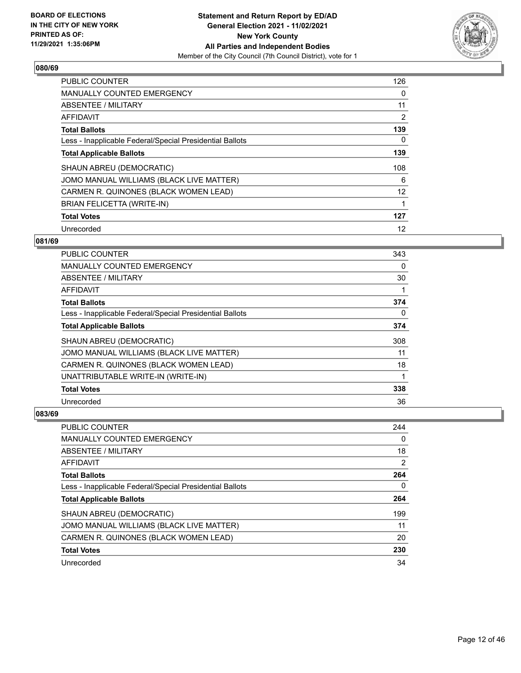

| <b>PUBLIC COUNTER</b>                                    | 126 |
|----------------------------------------------------------|-----|
| <b>MANUALLY COUNTED EMERGENCY</b>                        | 0   |
| ABSENTEE / MILITARY                                      | 11  |
| <b>AFFIDAVIT</b>                                         | 2   |
| <b>Total Ballots</b>                                     | 139 |
| Less - Inapplicable Federal/Special Presidential Ballots | 0   |
| <b>Total Applicable Ballots</b>                          | 139 |
| SHAUN ABREU (DEMOCRATIC)                                 | 108 |
| JOMO MANUAL WILLIAMS (BLACK LIVE MATTER)                 | 6   |
| CARMEN R. QUINONES (BLACK WOMEN LEAD)                    | 12  |
| <b>BRIAN FELICETTA (WRITE-IN)</b>                        |     |
| <b>Total Votes</b>                                       | 127 |
| Unrecorded                                               | 12  |

## **081/69**

| <b>PUBLIC COUNTER</b>                                    | 343      |
|----------------------------------------------------------|----------|
| MANUALLY COUNTED EMERGENCY                               | $\Omega$ |
| ABSENTEE / MILITARY                                      | 30       |
| AFFIDAVIT                                                |          |
| <b>Total Ballots</b>                                     | 374      |
| Less - Inapplicable Federal/Special Presidential Ballots | 0        |
| <b>Total Applicable Ballots</b>                          | 374      |
| SHAUN ABREU (DEMOCRATIC)                                 | 308      |
| JOMO MANUAL WILLIAMS (BLACK LIVE MATTER)                 | 11       |
| CARMEN R. QUINONES (BLACK WOMEN LEAD)                    | 18       |
| UNATTRIBUTABLE WRITE-IN (WRITE-IN)                       |          |
| <b>Total Votes</b>                                       | 338      |
| Unrecorded                                               | 36       |

| <b>PUBLIC COUNTER</b>                                    | 244            |
|----------------------------------------------------------|----------------|
| MANUALLY COUNTED EMERGENCY                               | 0              |
| ABSENTEE / MILITARY                                      | 18             |
| AFFIDAVIT                                                | $\overline{2}$ |
| <b>Total Ballots</b>                                     | 264            |
| Less - Inapplicable Federal/Special Presidential Ballots | 0              |
| <b>Total Applicable Ballots</b>                          | 264            |
| SHAUN ABREU (DEMOCRATIC)                                 | 199            |
| JOMO MANUAL WILLIAMS (BLACK LIVE MATTER)                 | 11             |
| CARMEN R. QUINONES (BLACK WOMEN LEAD)                    | 20             |
| <b>Total Votes</b>                                       | 230            |
| Unrecorded                                               | 34             |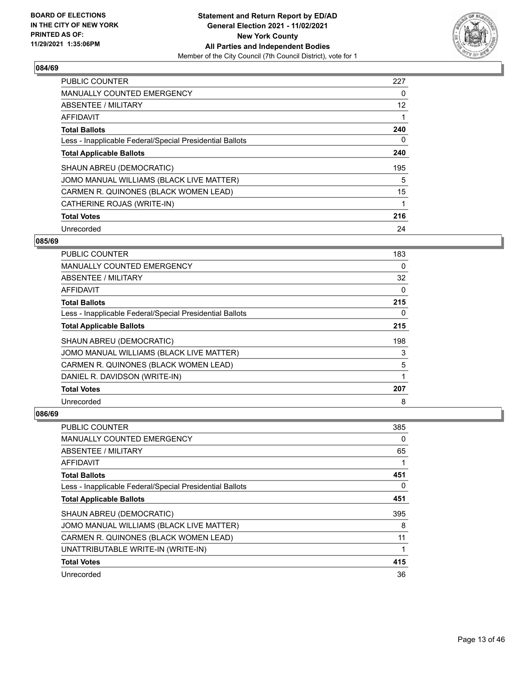

| <b>PUBLIC COUNTER</b>                                    | 227 |
|----------------------------------------------------------|-----|
| <b>MANUALLY COUNTED EMERGENCY</b>                        | 0   |
| ABSENTEE / MILITARY                                      | 12  |
| <b>AFFIDAVIT</b>                                         |     |
| <b>Total Ballots</b>                                     | 240 |
| Less - Inapplicable Federal/Special Presidential Ballots | 0   |
| <b>Total Applicable Ballots</b>                          | 240 |
| SHAUN ABREU (DEMOCRATIC)                                 | 195 |
| JOMO MANUAL WILLIAMS (BLACK LIVE MATTER)                 | 5   |
| CARMEN R. QUINONES (BLACK WOMEN LEAD)                    | 15  |
| CATHERINE ROJAS (WRITE-IN)                               | 1   |
| <b>Total Votes</b>                                       | 216 |
| Unrecorded                                               | 24  |

## **085/69**

| <b>PUBLIC COUNTER</b>                                    | 183 |
|----------------------------------------------------------|-----|
| MANUALLY COUNTED EMERGENCY                               | 0   |
| ABSENTEE / MILITARY                                      | 32  |
| AFFIDAVIT                                                | 0   |
| <b>Total Ballots</b>                                     | 215 |
| Less - Inapplicable Federal/Special Presidential Ballots | 0   |
| <b>Total Applicable Ballots</b>                          | 215 |
| SHAUN ABREU (DEMOCRATIC)                                 | 198 |
| JOMO MANUAL WILLIAMS (BLACK LIVE MATTER)                 | 3   |
| CARMEN R. QUINONES (BLACK WOMEN LEAD)                    | 5   |
| DANIEL R. DAVIDSON (WRITE-IN)                            |     |
| <b>Total Votes</b>                                       | 207 |
| Unrecorded                                               | 8   |

| PUBLIC COUNTER                                           | 385 |
|----------------------------------------------------------|-----|
| MANUALLY COUNTED EMERGENCY                               | 0   |
| ABSENTEE / MILITARY                                      | 65  |
| AFFIDAVIT                                                |     |
| <b>Total Ballots</b>                                     | 451 |
| Less - Inapplicable Federal/Special Presidential Ballots | 0   |
| <b>Total Applicable Ballots</b>                          | 451 |
| SHAUN ABREU (DEMOCRATIC)                                 | 395 |
| JOMO MANUAL WILLIAMS (BLACK LIVE MATTER)                 | 8   |
| CARMEN R. QUINONES (BLACK WOMEN LEAD)                    | 11  |
| UNATTRIBUTABLE WRITE-IN (WRITE-IN)                       | 1   |
| <b>Total Votes</b>                                       | 415 |
| Unrecorded                                               | 36  |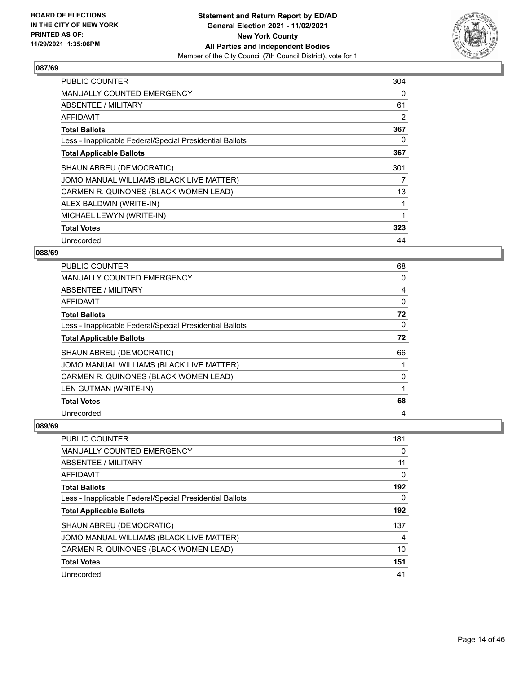

| PUBLIC COUNTER                                           | 304 |
|----------------------------------------------------------|-----|
| <b>MANUALLY COUNTED EMERGENCY</b>                        | 0   |
| ABSENTEE / MILITARY                                      | 61  |
| AFFIDAVIT                                                | 2   |
| <b>Total Ballots</b>                                     | 367 |
| Less - Inapplicable Federal/Special Presidential Ballots | 0   |
| <b>Total Applicable Ballots</b>                          | 367 |
| SHAUN ABREU (DEMOCRATIC)                                 | 301 |
| JOMO MANUAL WILLIAMS (BLACK LIVE MATTER)                 | 7   |
| CARMEN R. QUINONES (BLACK WOMEN LEAD)                    | 13  |
| ALEX BALDWIN (WRITE-IN)                                  | 1   |
| MICHAEL LEWYN (WRITE-IN)                                 | 1   |
| <b>Total Votes</b>                                       | 323 |
| Unrecorded                                               | 44  |

## **088/69**

| <b>PUBLIC COUNTER</b>                                    | 68 |
|----------------------------------------------------------|----|
| <b>MANUALLY COUNTED EMERGENCY</b>                        | 0  |
| ABSENTEE / MILITARY                                      | 4  |
| AFFIDAVIT                                                | 0  |
| <b>Total Ballots</b>                                     | 72 |
| Less - Inapplicable Federal/Special Presidential Ballots | 0  |
| <b>Total Applicable Ballots</b>                          | 72 |
| SHAUN ABREU (DEMOCRATIC)                                 | 66 |
| JOMO MANUAL WILLIAMS (BLACK LIVE MATTER)                 |    |
| CARMEN R. QUINONES (BLACK WOMEN LEAD)                    | 0  |
| LEN GUTMAN (WRITE-IN)                                    |    |
| <b>Total Votes</b>                                       | 68 |
| Unrecorded                                               | 4  |

| PUBLIC COUNTER                                           | 181 |
|----------------------------------------------------------|-----|
| <b>MANUALLY COUNTED EMERGENCY</b>                        | 0   |
| ABSENTEE / MILITARY                                      | 11  |
| AFFIDAVIT                                                | 0   |
| <b>Total Ballots</b>                                     | 192 |
| Less - Inapplicable Federal/Special Presidential Ballots | 0   |
| <b>Total Applicable Ballots</b>                          | 192 |
| SHAUN ABREU (DEMOCRATIC)                                 | 137 |
| JOMO MANUAL WILLIAMS (BLACK LIVE MATTER)                 | 4   |
| CARMEN R. QUINONES (BLACK WOMEN LEAD)                    | 10  |
| <b>Total Votes</b>                                       | 151 |
| Unrecorded                                               | 41  |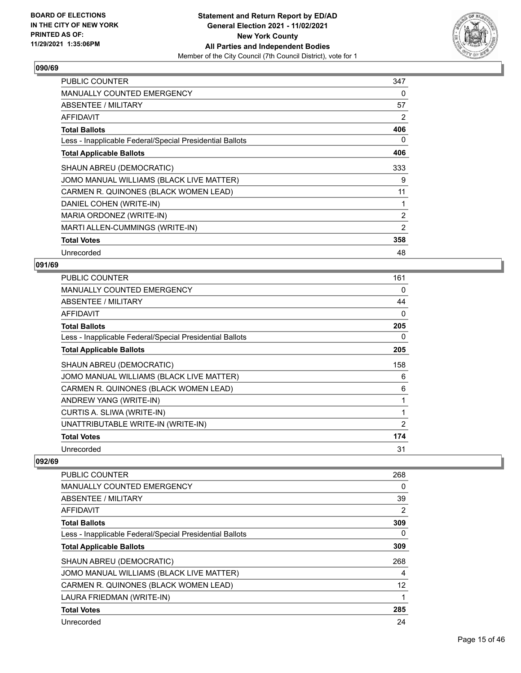

| <b>PUBLIC COUNTER</b>                                    | 347 |
|----------------------------------------------------------|-----|
| MANUALLY COUNTED EMERGENCY                               | 0   |
| ABSENTEE / MILITARY                                      | 57  |
| AFFIDAVIT                                                | 2   |
| <b>Total Ballots</b>                                     | 406 |
| Less - Inapplicable Federal/Special Presidential Ballots | 0   |
| <b>Total Applicable Ballots</b>                          | 406 |
| SHAUN ABREU (DEMOCRATIC)                                 | 333 |
| JOMO MANUAL WILLIAMS (BLACK LIVE MATTER)                 | 9   |
| CARMEN R. QUINONES (BLACK WOMEN LEAD)                    | 11  |
| DANIEL COHEN (WRITE-IN)                                  | 1   |
| MARIA ORDONEZ (WRITE-IN)                                 | 2   |
| MARTI ALLEN-CUMMINGS (WRITE-IN)                          | 2   |
| <b>Total Votes</b>                                       | 358 |
| Unrecorded                                               | 48  |

## **091/69**

| <b>PUBLIC COUNTER</b>                                    | 161      |
|----------------------------------------------------------|----------|
| MANUALLY COUNTED EMERGENCY                               | 0        |
| ABSENTEE / MILITARY                                      | 44       |
| AFFIDAVIT                                                | $\Omega$ |
| <b>Total Ballots</b>                                     | 205      |
| Less - Inapplicable Federal/Special Presidential Ballots | 0        |
| <b>Total Applicable Ballots</b>                          | 205      |
| SHAUN ABREU (DEMOCRATIC)                                 | 158      |
| JOMO MANUAL WILLIAMS (BLACK LIVE MATTER)                 | 6        |
| CARMEN R. QUINONES (BLACK WOMEN LEAD)                    | 6        |
| ANDREW YANG (WRITE-IN)                                   | 1        |
| CURTIS A. SLIWA (WRITE-IN)                               | 1        |
| UNATTRIBUTABLE WRITE-IN (WRITE-IN)                       | 2        |
| <b>Total Votes</b>                                       | 174      |
| Unrecorded                                               | 31       |

| <b>PUBLIC COUNTER</b>                                    | 268 |
|----------------------------------------------------------|-----|
| <b>MANUALLY COUNTED EMERGENCY</b>                        | 0   |
| ABSENTEE / MILITARY                                      | 39  |
| AFFIDAVIT                                                | 2   |
| <b>Total Ballots</b>                                     | 309 |
| Less - Inapplicable Federal/Special Presidential Ballots | 0   |
| <b>Total Applicable Ballots</b>                          | 309 |
| SHAUN ABREU (DEMOCRATIC)                                 | 268 |
| JOMO MANUAL WILLIAMS (BLACK LIVE MATTER)                 | 4   |
| CARMEN R. QUINONES (BLACK WOMEN LEAD)                    | 12  |
| LAURA FRIEDMAN (WRITE-IN)                                |     |
| <b>Total Votes</b>                                       | 285 |
| Unrecorded                                               | 24  |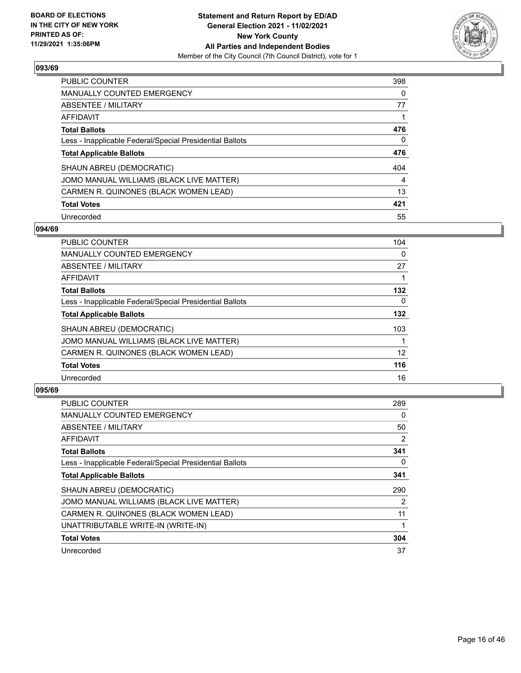

| <b>PUBLIC COUNTER</b>                                    | 398 |
|----------------------------------------------------------|-----|
| <b>MANUALLY COUNTED EMERGENCY</b>                        | 0   |
| ABSENTEE / MILITARY                                      | 77  |
| AFFIDAVIT                                                |     |
| <b>Total Ballots</b>                                     | 476 |
| Less - Inapplicable Federal/Special Presidential Ballots | 0   |
|                                                          | 476 |
| <b>Total Applicable Ballots</b>                          |     |
| SHAUN ABREU (DEMOCRATIC)                                 | 404 |
| JOMO MANUAL WILLIAMS (BLACK LIVE MATTER)                 | 4   |
| CARMEN R. QUINONES (BLACK WOMEN LEAD)                    | 13  |
| <b>Total Votes</b>                                       | 421 |

#### **094/69**

| <b>PUBLIC COUNTER</b>                                    | 104      |
|----------------------------------------------------------|----------|
| <b>MANUALLY COUNTED EMERGENCY</b>                        | 0        |
| ABSENTEE / MILITARY                                      | 27       |
| <b>AFFIDAVIT</b>                                         |          |
| <b>Total Ballots</b>                                     | 132      |
| Less - Inapplicable Federal/Special Presidential Ballots | $\Omega$ |
| <b>Total Applicable Ballots</b>                          | 132      |
| SHAUN ABREU (DEMOCRATIC)                                 | 103      |
| JOMO MANUAL WILLIAMS (BLACK LIVE MATTER)                 |          |
| CARMEN R. QUINONES (BLACK WOMEN LEAD)                    | 12       |
| <b>Total Votes</b>                                       | 116      |
| Unrecorded                                               | 16       |

| <b>PUBLIC COUNTER</b>                                    | 289 |
|----------------------------------------------------------|-----|
| MANUALLY COUNTED EMERGENCY                               | 0   |
| ABSENTEE / MILITARY                                      | 50  |
| AFFIDAVIT                                                | 2   |
| <b>Total Ballots</b>                                     | 341 |
| Less - Inapplicable Federal/Special Presidential Ballots | 0   |
| <b>Total Applicable Ballots</b>                          | 341 |
| SHAUN ABREU (DEMOCRATIC)                                 | 290 |
| JOMO MANUAL WILLIAMS (BLACK LIVE MATTER)                 | 2   |
| CARMEN R. QUINONES (BLACK WOMEN LEAD)                    | 11  |
| UNATTRIBUTABLE WRITE-IN (WRITE-IN)                       |     |
| <b>Total Votes</b>                                       | 304 |
| Unrecorded                                               | 37  |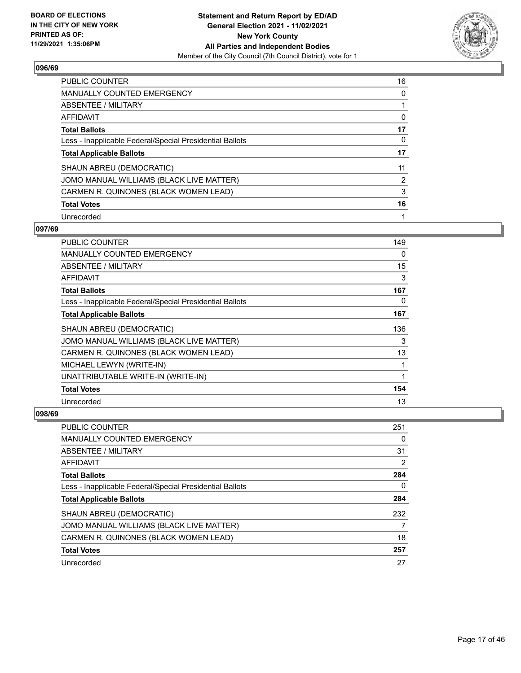

| PUBLIC COUNTER                                           | 16 |
|----------------------------------------------------------|----|
| <b>MANUALLY COUNTED EMERGENCY</b>                        | 0  |
| ABSENTEE / MILITARY                                      |    |
| AFFIDAVIT                                                | 0  |
| <b>Total Ballots</b>                                     | 17 |
| Less - Inapplicable Federal/Special Presidential Ballots | 0  |
| <b>Total Applicable Ballots</b>                          | 17 |
| SHAUN ABREU (DEMOCRATIC)                                 | 11 |
| JOMO MANUAL WILLIAMS (BLACK LIVE MATTER)                 | 2  |
| CARMEN R. QUINONES (BLACK WOMEN LEAD)                    | 3  |
| <b>Total Votes</b>                                       | 16 |
| Unrecorded                                               | 1  |

#### **097/69**

| <b>PUBLIC COUNTER</b>                                    | 149 |
|----------------------------------------------------------|-----|
| <b>MANUALLY COUNTED EMERGENCY</b>                        | 0   |
| ABSENTEE / MILITARY                                      | 15  |
| AFFIDAVIT                                                | 3   |
| <b>Total Ballots</b>                                     | 167 |
| Less - Inapplicable Federal/Special Presidential Ballots | 0   |
| <b>Total Applicable Ballots</b>                          | 167 |
| SHAUN ABREU (DEMOCRATIC)                                 | 136 |
| JOMO MANUAL WILLIAMS (BLACK LIVE MATTER)                 | 3   |
| CARMEN R. QUINONES (BLACK WOMEN LEAD)                    | 13  |
| MICHAEL LEWYN (WRITE-IN)                                 | 1   |
| UNATTRIBUTABLE WRITE-IN (WRITE-IN)                       | 1   |
| <b>Total Votes</b>                                       | 154 |
| Unrecorded                                               | 13  |

| <b>PUBLIC COUNTER</b>                                    | 251 |
|----------------------------------------------------------|-----|
| MANUALLY COUNTED EMERGENCY                               | 0   |
| ABSENTEE / MILITARY                                      | 31  |
| AFFIDAVIT                                                | 2   |
| <b>Total Ballots</b>                                     | 284 |
| Less - Inapplicable Federal/Special Presidential Ballots | 0   |
| <b>Total Applicable Ballots</b>                          | 284 |
| SHAUN ABREU (DEMOCRATIC)                                 | 232 |
| JOMO MANUAL WILLIAMS (BLACK LIVE MATTER)                 |     |
| CARMEN R. QUINONES (BLACK WOMEN LEAD)                    | 18  |
| <b>Total Votes</b>                                       | 257 |
| Unrecorded                                               | 27  |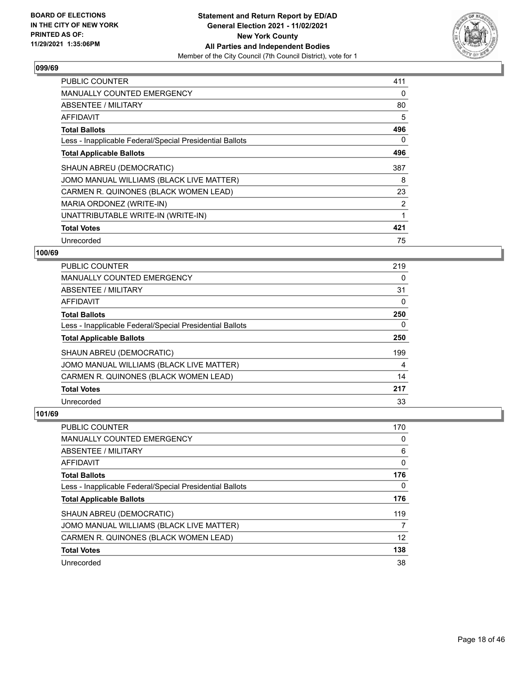

| PUBLIC COUNTER                                           | 411 |
|----------------------------------------------------------|-----|
| <b>MANUALLY COUNTED EMERGENCY</b>                        | 0   |
| <b>ABSENTEE / MILITARY</b>                               | 80  |
| AFFIDAVIT                                                | 5   |
| <b>Total Ballots</b>                                     | 496 |
| Less - Inapplicable Federal/Special Presidential Ballots | 0   |
| <b>Total Applicable Ballots</b>                          | 496 |
| SHAUN ABREU (DEMOCRATIC)                                 | 387 |
| JOMO MANUAL WILLIAMS (BLACK LIVE MATTER)                 | 8   |
| CARMEN R. QUINONES (BLACK WOMEN LEAD)                    | 23  |
| MARIA ORDONEZ (WRITE-IN)                                 | 2   |
| UNATTRIBUTABLE WRITE-IN (WRITE-IN)                       | 1   |
| <b>Total Votes</b>                                       | 421 |
| Unrecorded                                               | 75  |

## **100/69**

| <b>PUBLIC COUNTER</b>                                    | 219      |
|----------------------------------------------------------|----------|
| <b>MANUALLY COUNTED EMERGENCY</b>                        | 0        |
| ABSENTEE / MILITARY                                      | 31       |
| <b>AFFIDAVIT</b>                                         | 0        |
| <b>Total Ballots</b>                                     | 250      |
| Less - Inapplicable Federal/Special Presidential Ballots | $\Omega$ |
| <b>Total Applicable Ballots</b>                          | 250      |
| SHAUN ABREU (DEMOCRATIC)                                 | 199      |
| JOMO MANUAL WILLIAMS (BLACK LIVE MATTER)                 | 4        |
| CARMEN R. QUINONES (BLACK WOMEN LEAD)                    | 14       |
| <b>Total Votes</b>                                       | 217      |
| Unrecorded                                               | 33       |

| <b>PUBLIC COUNTER</b>                                    | 170 |
|----------------------------------------------------------|-----|
| <b>MANUALLY COUNTED EMERGENCY</b>                        | 0   |
| ABSENTEE / MILITARY                                      | 6   |
| AFFIDAVIT                                                | 0   |
| <b>Total Ballots</b>                                     | 176 |
| Less - Inapplicable Federal/Special Presidential Ballots | 0   |
| <b>Total Applicable Ballots</b>                          | 176 |
| SHAUN ABREU (DEMOCRATIC)                                 | 119 |
| JOMO MANUAL WILLIAMS (BLACK LIVE MATTER)                 |     |
| CARMEN R. QUINONES (BLACK WOMEN LEAD)                    | 12  |
|                                                          |     |
| <b>Total Votes</b>                                       | 138 |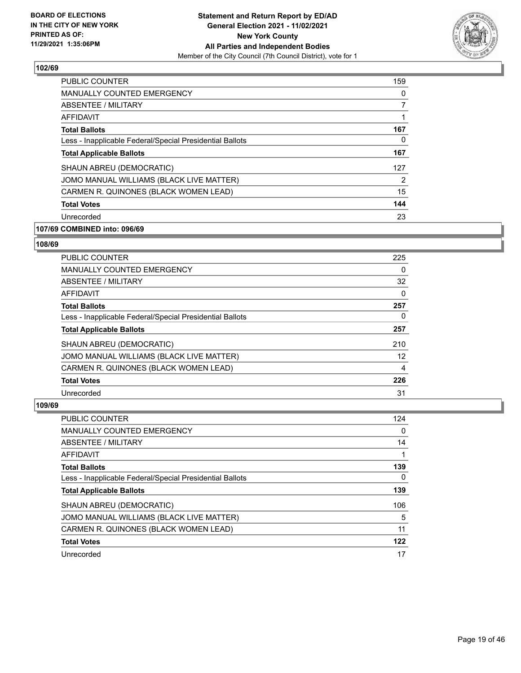

| PUBLIC COUNTER                                           | 159 |
|----------------------------------------------------------|-----|
| <b>MANUALLY COUNTED EMERGENCY</b>                        | 0   |
| ABSENTEE / MILITARY                                      | 7   |
| <b>AFFIDAVIT</b>                                         |     |
| <b>Total Ballots</b>                                     | 167 |
| Less - Inapplicable Federal/Special Presidential Ballots | 0   |
| <b>Total Applicable Ballots</b>                          | 167 |
| SHAUN ABREU (DEMOCRATIC)                                 | 127 |
| JOMO MANUAL WILLIAMS (BLACK LIVE MATTER)                 | 2   |
| CARMEN R. QUINONES (BLACK WOMEN LEAD)                    | 15  |
| <b>Total Votes</b>                                       | 144 |
| Unrecorded                                               | 23  |

# **107/69 COMBINED into: 096/69**

#### **108/69**

| <b>PUBLIC COUNTER</b>                                    | 225      |
|----------------------------------------------------------|----------|
| <b>MANUALLY COUNTED EMERGENCY</b>                        | $\Omega$ |
| ABSENTEE / MILITARY                                      | 32       |
| AFFIDAVIT                                                | $\Omega$ |
| <b>Total Ballots</b>                                     | 257      |
| Less - Inapplicable Federal/Special Presidential Ballots | $\Omega$ |
| <b>Total Applicable Ballots</b>                          | 257      |
| SHAUN ABREU (DEMOCRATIC)                                 | 210      |
| JOMO MANUAL WILLIAMS (BLACK LIVE MATTER)                 | 12       |
| CARMEN R. QUINONES (BLACK WOMEN LEAD)                    | 4        |
| <b>Total Votes</b>                                       | 226      |
| Unrecorded                                               | 31       |

| <b>PUBLIC COUNTER</b>                                    | 124      |
|----------------------------------------------------------|----------|
| <b>MANUALLY COUNTED EMERGENCY</b>                        | $\Omega$ |
| ABSENTEE / MILITARY                                      | 14       |
| <b>AFFIDAVIT</b>                                         |          |
| <b>Total Ballots</b>                                     | 139      |
| Less - Inapplicable Federal/Special Presidential Ballots | 0        |
| <b>Total Applicable Ballots</b>                          | 139      |
| SHAUN ABREU (DEMOCRATIC)                                 | 106      |
| JOMO MANUAL WILLIAMS (BLACK LIVE MATTER)                 | 5        |
| CARMEN R. QUINONES (BLACK WOMEN LEAD)                    | 11       |
| <b>Total Votes</b>                                       | 122      |
| Unrecorded                                               | 17       |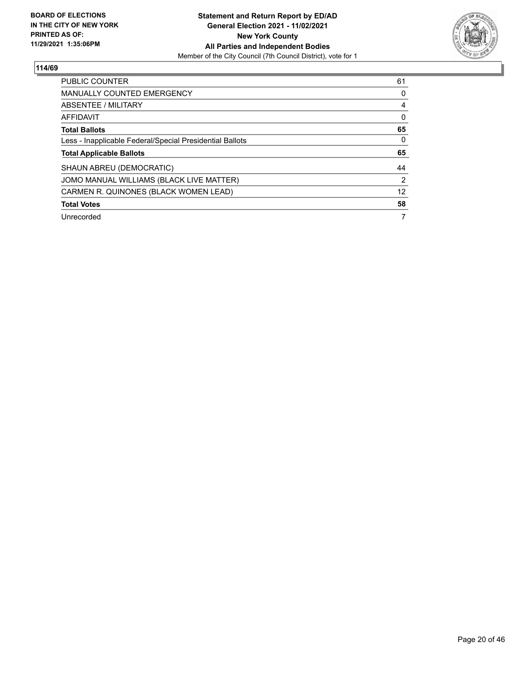

| <b>PUBLIC COUNTER</b>                                    | 61 |
|----------------------------------------------------------|----|
| <b>MANUALLY COUNTED EMERGENCY</b>                        | 0  |
| ABSENTEE / MILITARY                                      | 4  |
| AFFIDAVIT                                                | 0  |
| <b>Total Ballots</b>                                     | 65 |
| Less - Inapplicable Federal/Special Presidential Ballots | 0  |
| <b>Total Applicable Ballots</b>                          | 65 |
| SHAUN ABREU (DEMOCRATIC)                                 | 44 |
| JOMO MANUAL WILLIAMS (BLACK LIVE MATTER)                 | 2  |
| CARMEN R. QUINONES (BLACK WOMEN LEAD)                    | 12 |
| <b>Total Votes</b>                                       | 58 |
| Unrecorded                                               | 7  |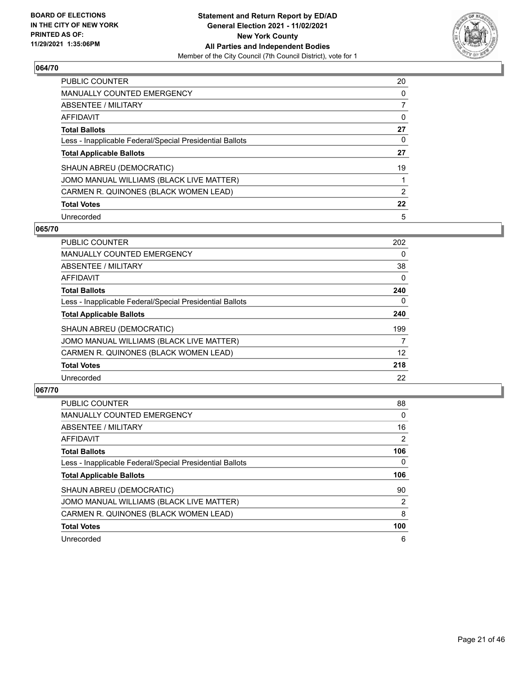

| PUBLIC COUNTER                                           | 20 |
|----------------------------------------------------------|----|
| <b>MANUALLY COUNTED EMERGENCY</b>                        | 0  |
| ABSENTEE / MILITARY                                      |    |
| AFFIDAVIT                                                | 0  |
| <b>Total Ballots</b>                                     | 27 |
| Less - Inapplicable Federal/Special Presidential Ballots | 0  |
| <b>Total Applicable Ballots</b>                          | 27 |
| SHAUN ABREU (DEMOCRATIC)                                 | 19 |
| JOMO MANUAL WILLIAMS (BLACK LIVE MATTER)                 |    |
| CARMEN R. QUINONES (BLACK WOMEN LEAD)                    | 2  |
| <b>Total Votes</b>                                       | 22 |
| Unrecorded                                               | 5  |

#### **065/70**

| <b>PUBLIC COUNTER</b>                                    | 202      |
|----------------------------------------------------------|----------|
| <b>MANUALLY COUNTED EMERGENCY</b>                        | 0        |
| ABSENTEE / MILITARY                                      | 38       |
| <b>AFFIDAVIT</b>                                         | $\Omega$ |
| <b>Total Ballots</b>                                     | 240      |
| Less - Inapplicable Federal/Special Presidential Ballots | 0        |
| <b>Total Applicable Ballots</b>                          | 240      |
| SHAUN ABREU (DEMOCRATIC)                                 | 199      |
| JOMO MANUAL WILLIAMS (BLACK LIVE MATTER)                 | 7        |
| CARMEN R. QUINONES (BLACK WOMEN LEAD)                    | 12       |
| <b>Total Votes</b>                                       | 218      |
| Unrecorded                                               | 22       |

| PUBLIC COUNTER                                           | 88             |
|----------------------------------------------------------|----------------|
| <b>MANUALLY COUNTED EMERGENCY</b>                        | $\Omega$       |
| ABSENTEE / MILITARY                                      | 16             |
| AFFIDAVIT                                                | $\overline{2}$ |
| <b>Total Ballots</b>                                     | 106            |
| Less - Inapplicable Federal/Special Presidential Ballots | $\Omega$       |
| <b>Total Applicable Ballots</b>                          | 106            |
| SHAUN ABREU (DEMOCRATIC)                                 | 90             |
| JOMO MANUAL WILLIAMS (BLACK LIVE MATTER)                 | $\overline{2}$ |
| CARMEN R. QUINONES (BLACK WOMEN LEAD)                    | 8              |
| <b>Total Votes</b>                                       | 100            |
| Unrecorded                                               | 6              |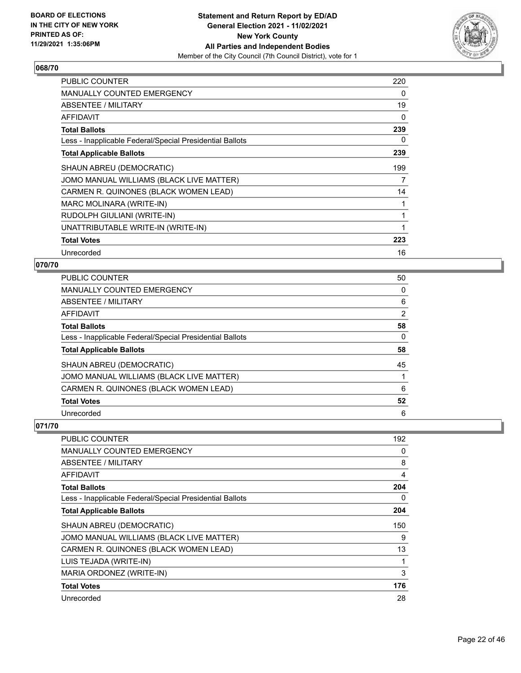

| <b>PUBLIC COUNTER</b>                                    | 220 |
|----------------------------------------------------------|-----|
| <b>MANUALLY COUNTED EMERGENCY</b>                        | 0   |
| ABSENTEE / MILITARY                                      | 19  |
| <b>AFFIDAVIT</b>                                         | 0   |
| <b>Total Ballots</b>                                     | 239 |
| Less - Inapplicable Federal/Special Presidential Ballots | 0   |
| <b>Total Applicable Ballots</b>                          | 239 |
| SHAUN ABREU (DEMOCRATIC)                                 | 199 |
| JOMO MANUAL WILLIAMS (BLACK LIVE MATTER)                 | 7   |
| CARMEN R. QUINONES (BLACK WOMEN LEAD)                    | 14  |
| MARC MOLINARA (WRITE-IN)                                 | 1   |
| RUDOLPH GIULIANI (WRITE-IN)                              | 1   |
| UNATTRIBUTABLE WRITE-IN (WRITE-IN)                       | 1   |
| <b>Total Votes</b>                                       | 223 |
| Unrecorded                                               | 16  |

## **070/70**

| PUBLIC COUNTER                                           | 50 |
|----------------------------------------------------------|----|
| <b>MANUALLY COUNTED EMERGENCY</b>                        | 0  |
| ABSENTEE / MILITARY                                      | 6  |
| AFFIDAVIT                                                | 2  |
| <b>Total Ballots</b>                                     | 58 |
| Less - Inapplicable Federal/Special Presidential Ballots | 0  |
| <b>Total Applicable Ballots</b>                          | 58 |
| SHAUN ABREU (DEMOCRATIC)                                 | 45 |
| JOMO MANUAL WILLIAMS (BLACK LIVE MATTER)                 |    |
| CARMEN R. QUINONES (BLACK WOMEN LEAD)                    | 6  |
| <b>Total Votes</b>                                       | 52 |
| Unrecorded                                               | 6  |

| <b>PUBLIC COUNTER</b>                                    | 192 |
|----------------------------------------------------------|-----|
| MANUALLY COUNTED EMERGENCY                               | 0   |
| ABSENTEE / MILITARY                                      | 8   |
| AFFIDAVIT                                                | 4   |
| <b>Total Ballots</b>                                     | 204 |
| Less - Inapplicable Federal/Special Presidential Ballots | 0   |
| <b>Total Applicable Ballots</b>                          | 204 |
| SHAUN ABREU (DEMOCRATIC)                                 | 150 |
| JOMO MANUAL WILLIAMS (BLACK LIVE MATTER)                 | 9   |
| CARMEN R. QUINONES (BLACK WOMEN LEAD)                    | 13  |
| LUIS TEJADA (WRITE-IN)                                   | 1   |
| MARIA ORDONEZ (WRITE-IN)                                 | 3   |
| <b>Total Votes</b>                                       | 176 |
| Unrecorded                                               | 28  |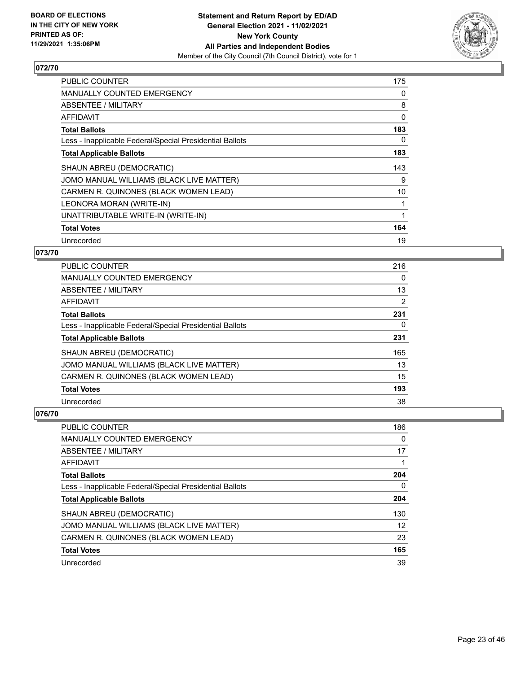

| PUBLIC COUNTER                                           | 175 |
|----------------------------------------------------------|-----|
| <b>MANUALLY COUNTED EMERGENCY</b>                        | 0   |
| <b>ABSENTEE / MILITARY</b>                               | 8   |
| AFFIDAVIT                                                | 0   |
| <b>Total Ballots</b>                                     | 183 |
| Less - Inapplicable Federal/Special Presidential Ballots | 0   |
| <b>Total Applicable Ballots</b>                          | 183 |
| SHAUN ABREU (DEMOCRATIC)                                 | 143 |
| JOMO MANUAL WILLIAMS (BLACK LIVE MATTER)                 | 9   |
| CARMEN R. QUINONES (BLACK WOMEN LEAD)                    | 10  |
| LEONORA MORAN (WRITE-IN)                                 | 1   |
| UNATTRIBUTABLE WRITE-IN (WRITE-IN)                       | 1   |
|                                                          |     |
| <b>Total Votes</b>                                       | 164 |

## **073/70**

| <b>PUBLIC COUNTER</b>                                    | 216            |
|----------------------------------------------------------|----------------|
| MANUALLY COUNTED EMERGENCY                               | $\Omega$       |
| ABSENTEE / MILITARY                                      | 13             |
| AFFIDAVIT                                                | $\overline{2}$ |
| <b>Total Ballots</b>                                     | 231            |
| Less - Inapplicable Federal/Special Presidential Ballots | 0              |
| <b>Total Applicable Ballots</b>                          | 231            |
| SHAUN ABREU (DEMOCRATIC)                                 | 165            |
| JOMO MANUAL WILLIAMS (BLACK LIVE MATTER)                 | 13             |
| CARMEN R. QUINONES (BLACK WOMEN LEAD)                    | 15             |
| <b>Total Votes</b>                                       | 193            |
| Unrecorded                                               | 38             |

| <b>PUBLIC COUNTER</b>                                    | 186 |
|----------------------------------------------------------|-----|
| <b>MANUALLY COUNTED EMERGENCY</b>                        | 0   |
| ABSENTEE / MILITARY                                      | 17  |
| AFFIDAVIT                                                |     |
| <b>Total Ballots</b>                                     | 204 |
| Less - Inapplicable Federal/Special Presidential Ballots | 0   |
| <b>Total Applicable Ballots</b>                          | 204 |
| SHAUN ABREU (DEMOCRATIC)                                 | 130 |
| JOMO MANUAL WILLIAMS (BLACK LIVE MATTER)                 | 12  |
| CARMEN R. QUINONES (BLACK WOMEN LEAD)                    | 23  |
| <b>Total Votes</b>                                       | 165 |
| Unrecorded                                               | 39  |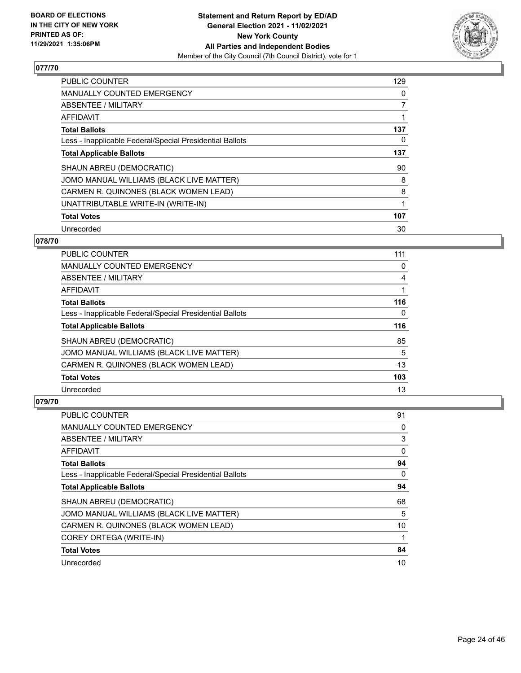

| <b>PUBLIC COUNTER</b>                                    | 129 |
|----------------------------------------------------------|-----|
| <b>MANUALLY COUNTED EMERGENCY</b>                        | 0   |
| ABSENTEE / MILITARY                                      | 7   |
| <b>AFFIDAVIT</b>                                         |     |
| <b>Total Ballots</b>                                     | 137 |
| Less - Inapplicable Federal/Special Presidential Ballots | 0   |
| <b>Total Applicable Ballots</b>                          | 137 |
| SHAUN ABREU (DEMOCRATIC)                                 | 90  |
| JOMO MANUAL WILLIAMS (BLACK LIVE MATTER)                 | 8   |
| CARMEN R. QUINONES (BLACK WOMEN LEAD)                    | 8   |
| UNATTRIBUTABLE WRITE-IN (WRITE-IN)                       | 1   |
| <b>Total Votes</b>                                       | 107 |
| Unrecorded                                               | 30  |

## **078/70**

| <b>PUBLIC COUNTER</b>                                    | 111      |
|----------------------------------------------------------|----------|
| <b>MANUALLY COUNTED EMERGENCY</b>                        | 0        |
| ABSENTEE / MILITARY                                      | 4        |
| <b>AFFIDAVIT</b>                                         |          |
| <b>Total Ballots</b>                                     | 116      |
| Less - Inapplicable Federal/Special Presidential Ballots | $\Omega$ |
| <b>Total Applicable Ballots</b>                          | 116      |
| SHAUN ABREU (DEMOCRATIC)                                 | 85       |
| JOMO MANUAL WILLIAMS (BLACK LIVE MATTER)                 | 5        |
| CARMEN R. QUINONES (BLACK WOMEN LEAD)                    | 13       |
| <b>Total Votes</b>                                       | 103      |
| Unrecorded                                               | 13       |

| <b>PUBLIC COUNTER</b>                                    | 91       |
|----------------------------------------------------------|----------|
| MANUALLY COUNTED EMERGENCY                               | 0        |
| ABSENTEE / MILITARY                                      | 3        |
| AFFIDAVIT                                                | 0        |
| <b>Total Ballots</b>                                     | 94       |
| Less - Inapplicable Federal/Special Presidential Ballots | $\Omega$ |
| <b>Total Applicable Ballots</b>                          | 94       |
| SHAUN ABREU (DEMOCRATIC)                                 | 68       |
| JOMO MANUAL WILLIAMS (BLACK LIVE MATTER)                 | 5        |
| CARMEN R. QUINONES (BLACK WOMEN LEAD)                    | 10       |
| COREY ORTEGA (WRITE-IN)                                  |          |
| <b>Total Votes</b>                                       | 84       |
| Unrecorded                                               | 10       |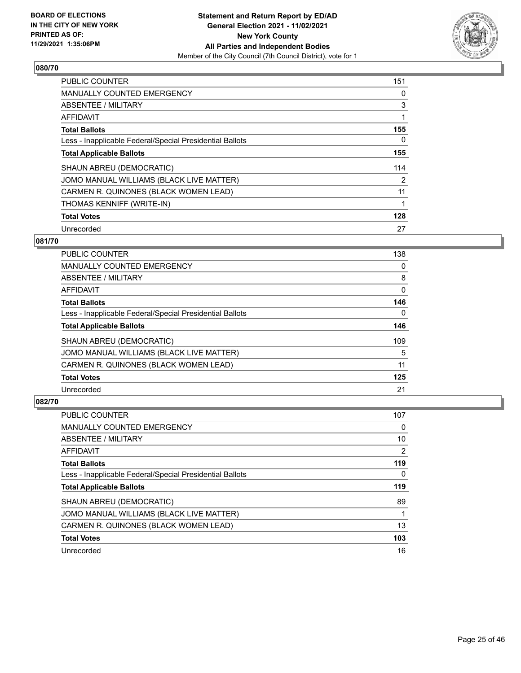

| <b>PUBLIC COUNTER</b>                                    | 151 |
|----------------------------------------------------------|-----|
| <b>MANUALLY COUNTED EMERGENCY</b>                        | 0   |
| ABSENTEE / MILITARY                                      | 3   |
| <b>AFFIDAVIT</b>                                         |     |
| <b>Total Ballots</b>                                     | 155 |
| Less - Inapplicable Federal/Special Presidential Ballots | 0   |
| <b>Total Applicable Ballots</b>                          | 155 |
| SHAUN ABREU (DEMOCRATIC)                                 | 114 |
| JOMO MANUAL WILLIAMS (BLACK LIVE MATTER)                 | 2   |
| CARMEN R. QUINONES (BLACK WOMEN LEAD)                    | 11  |
| THOMAS KENNIFF (WRITE-IN)                                |     |
| <b>Total Votes</b>                                       | 128 |
| Unrecorded                                               | 27  |

## **081/70**

| <b>PUBLIC COUNTER</b>                                    | 138      |
|----------------------------------------------------------|----------|
| <b>MANUALLY COUNTED EMERGENCY</b>                        | 0        |
| ABSENTEE / MILITARY                                      | 8        |
| AFFIDAVIT                                                | $\Omega$ |
| <b>Total Ballots</b>                                     | 146      |
| Less - Inapplicable Federal/Special Presidential Ballots | $\Omega$ |
| <b>Total Applicable Ballots</b>                          | 146      |
| SHAUN ABREU (DEMOCRATIC)                                 | 109      |
| JOMO MANUAL WILLIAMS (BLACK LIVE MATTER)                 | 5        |
| CARMEN R. QUINONES (BLACK WOMEN LEAD)                    | 11       |
| <b>Total Votes</b>                                       | 125      |
| Unrecorded                                               | 21       |

| PUBLIC COUNTER                                           | 107 |
|----------------------------------------------------------|-----|
| <b>MANUALLY COUNTED EMERGENCY</b>                        | 0   |
| ABSENTEE / MILITARY                                      | 10  |
| AFFIDAVIT                                                | 2   |
| <b>Total Ballots</b>                                     | 119 |
| Less - Inapplicable Federal/Special Presidential Ballots | 0   |
| <b>Total Applicable Ballots</b>                          | 119 |
| SHAUN ABREU (DEMOCRATIC)                                 | 89  |
| JOMO MANUAL WILLIAMS (BLACK LIVE MATTER)                 |     |
| CARMEN R. QUINONES (BLACK WOMEN LEAD)                    | 13  |
| <b>Total Votes</b>                                       | 103 |
| Unrecorded                                               | 16  |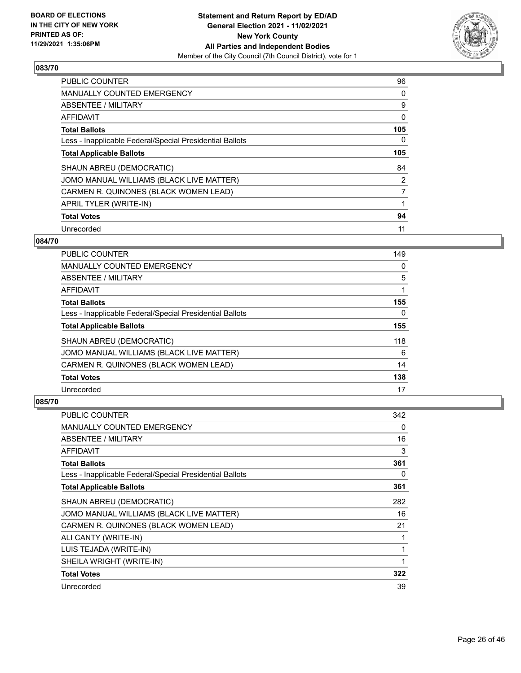

| <b>PUBLIC COUNTER</b>                                    | 96  |
|----------------------------------------------------------|-----|
| <b>MANUALLY COUNTED EMERGENCY</b>                        | 0   |
| ABSENTEE / MILITARY                                      | 9   |
| <b>AFFIDAVIT</b>                                         | 0   |
| <b>Total Ballots</b>                                     | 105 |
| Less - Inapplicable Federal/Special Presidential Ballots | 0   |
| <b>Total Applicable Ballots</b>                          | 105 |
| SHAUN ABREU (DEMOCRATIC)                                 | 84  |
| JOMO MANUAL WILLIAMS (BLACK LIVE MATTER)                 | 2   |
| CARMEN R. QUINONES (BLACK WOMEN LEAD)                    | 7   |
| APRIL TYLER (WRITE-IN)                                   |     |
| <b>Total Votes</b>                                       | 94  |
| Unrecorded                                               | 11  |

## **084/70**

| <b>PUBLIC COUNTER</b>                                    | 149      |
|----------------------------------------------------------|----------|
| <b>MANUALLY COUNTED EMERGENCY</b>                        | 0        |
| ABSENTEE / MILITARY                                      | 5        |
| AFFIDAVIT                                                |          |
| <b>Total Ballots</b>                                     | 155      |
| Less - Inapplicable Federal/Special Presidential Ballots | $\Omega$ |
| <b>Total Applicable Ballots</b>                          | 155      |
| SHAUN ABREU (DEMOCRATIC)                                 | 118      |
| JOMO MANUAL WILLIAMS (BLACK LIVE MATTER)                 | 6        |
| CARMEN R. QUINONES (BLACK WOMEN LEAD)                    | 14       |
| <b>Total Votes</b>                                       | 138      |
| Unrecorded                                               | 17       |

| <b>PUBLIC COUNTER</b>                                    | 342 |
|----------------------------------------------------------|-----|
| <b>MANUALLY COUNTED EMERGENCY</b>                        | 0   |
| ABSENTEE / MILITARY                                      | 16  |
| AFFIDAVIT                                                | 3   |
| <b>Total Ballots</b>                                     | 361 |
| Less - Inapplicable Federal/Special Presidential Ballots | 0   |
| <b>Total Applicable Ballots</b>                          | 361 |
| SHAUN ABREU (DEMOCRATIC)                                 | 282 |
| JOMO MANUAL WILLIAMS (BLACK LIVE MATTER)                 | 16  |
| CARMEN R. QUINONES (BLACK WOMEN LEAD)                    | 21  |
| ALI CANTY (WRITE-IN)                                     | 1   |
| LUIS TEJADA (WRITE-IN)                                   | 1   |
| SHEILA WRIGHT (WRITE-IN)                                 | 1   |
| <b>Total Votes</b>                                       | 322 |
| Unrecorded                                               | 39  |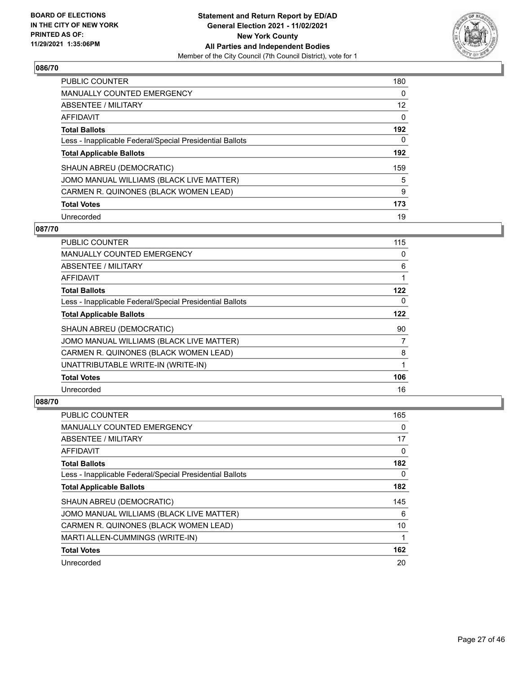

| <b>PUBLIC COUNTER</b>                                    | 180 |
|----------------------------------------------------------|-----|
| <b>MANUALLY COUNTED EMERGENCY</b>                        | 0   |
| ABSENTEE / MILITARY                                      | 12  |
| AFFIDAVIT                                                | 0   |
| <b>Total Ballots</b>                                     | 192 |
| Less - Inapplicable Federal/Special Presidential Ballots | 0   |
| <b>Total Applicable Ballots</b>                          | 192 |
| SHAUN ABREU (DEMOCRATIC)                                 | 159 |
| JOMO MANUAL WILLIAMS (BLACK LIVE MATTER)                 | 5   |
| CARMEN R. QUINONES (BLACK WOMEN LEAD)                    | 9   |
| <b>Total Votes</b>                                       | 173 |
| Unrecorded                                               | 19  |

#### **087/70**

| <b>PUBLIC COUNTER</b>                                    | 115 |
|----------------------------------------------------------|-----|
| MANUALLY COUNTED EMERGENCY                               | 0   |
| ABSENTEE / MILITARY                                      | 6   |
| AFFIDAVIT                                                | 1   |
| <b>Total Ballots</b>                                     | 122 |
| Less - Inapplicable Federal/Special Presidential Ballots | 0   |
| <b>Total Applicable Ballots</b>                          | 122 |
| SHAUN ABREU (DEMOCRATIC)                                 | 90  |
| JOMO MANUAL WILLIAMS (BLACK LIVE MATTER)                 | 7   |
| CARMEN R. QUINONES (BLACK WOMEN LEAD)                    | 8   |
| UNATTRIBUTABLE WRITE-IN (WRITE-IN)                       | 1   |
| <b>Total Votes</b>                                       | 106 |
| Unrecorded                                               | 16  |

| <b>PUBLIC COUNTER</b>                                    | 165 |
|----------------------------------------------------------|-----|
| MANUALLY COUNTED EMERGENCY                               | 0   |
| ABSENTEE / MILITARY                                      | 17  |
| AFFIDAVIT                                                | 0   |
| <b>Total Ballots</b>                                     | 182 |
| Less - Inapplicable Federal/Special Presidential Ballots | 0   |
| <b>Total Applicable Ballots</b>                          | 182 |
| SHAUN ABREU (DEMOCRATIC)                                 | 145 |
| JOMO MANUAL WILLIAMS (BLACK LIVE MATTER)                 | 6   |
| CARMEN R. QUINONES (BLACK WOMEN LEAD)                    | 10  |
| MARTI ALLEN-CUMMINGS (WRITE-IN)                          |     |
| <b>Total Votes</b>                                       | 162 |
| Unrecorded                                               | 20  |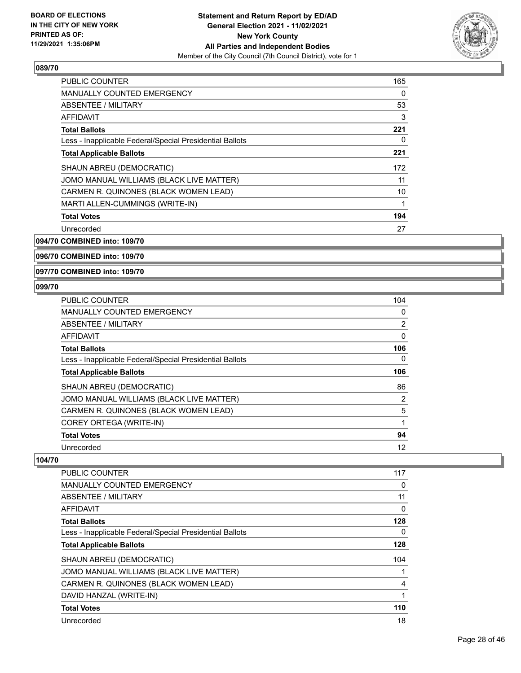

| <b>PUBLIC COUNTER</b>                                    | 165 |
|----------------------------------------------------------|-----|
| <b>MANUALLY COUNTED EMERGENCY</b>                        | 0   |
| ABSENTEE / MILITARY                                      | 53  |
| AFFIDAVIT                                                | 3   |
| <b>Total Ballots</b>                                     | 221 |
| Less - Inapplicable Federal/Special Presidential Ballots | 0   |
| <b>Total Applicable Ballots</b>                          | 221 |
| SHAUN ABREU (DEMOCRATIC)                                 | 172 |
| JOMO MANUAL WILLIAMS (BLACK LIVE MATTER)                 | 11  |
| CARMEN R. QUINONES (BLACK WOMEN LEAD)                    | 10  |
| MARTI ALLEN-CUMMINGS (WRITE-IN)                          | 1   |
| <b>Total Votes</b>                                       | 194 |
| Unrecorded                                               | 27  |

**094/70 COMBINED into: 109/70**

**096/70 COMBINED into: 109/70**

**097/70 COMBINED into: 109/70**

#### **099/70**

| <b>PUBLIC COUNTER</b>                                    | 104            |
|----------------------------------------------------------|----------------|
| <b>MANUALLY COUNTED EMERGENCY</b>                        | 0              |
| ABSENTEE / MILITARY                                      | 2              |
| AFFIDAVIT                                                | 0              |
| <b>Total Ballots</b>                                     | 106            |
| Less - Inapplicable Federal/Special Presidential Ballots | 0              |
| <b>Total Applicable Ballots</b>                          | 106            |
| SHAUN ABREU (DEMOCRATIC)                                 | 86             |
| JOMO MANUAL WILLIAMS (BLACK LIVE MATTER)                 | $\overline{2}$ |
| CARMEN R. QUINONES (BLACK WOMEN LEAD)                    | 5              |
| COREY ORTEGA (WRITE-IN)                                  |                |
| <b>Total Votes</b>                                       | 94             |
| Unrecorded                                               | 12             |

| <b>PUBLIC COUNTER</b>                                    | 117 |
|----------------------------------------------------------|-----|
| <b>MANUALLY COUNTED EMERGENCY</b>                        | 0   |
| ABSENTEE / MILITARY                                      | 11  |
| AFFIDAVIT                                                | 0   |
| <b>Total Ballots</b>                                     | 128 |
| Less - Inapplicable Federal/Special Presidential Ballots | 0   |
| <b>Total Applicable Ballots</b>                          | 128 |
| SHAUN ABREU (DEMOCRATIC)                                 | 104 |
| JOMO MANUAL WILLIAMS (BLACK LIVE MATTER)                 |     |
| CARMEN R. QUINONES (BLACK WOMEN LEAD)                    | 4   |
| DAVID HANZAL (WRITE-IN)                                  |     |
| <b>Total Votes</b>                                       | 110 |
| Unrecorded                                               | 18  |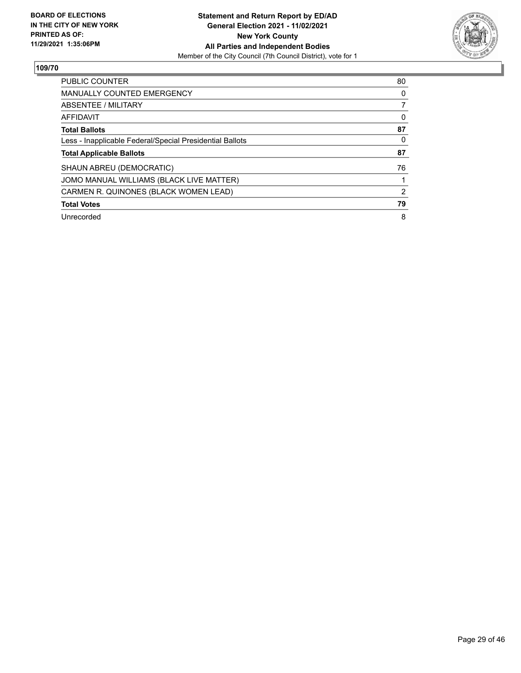

| <b>PUBLIC COUNTER</b>                                    | 80 |
|----------------------------------------------------------|----|
| <b>MANUALLY COUNTED EMERGENCY</b>                        | 0  |
| ABSENTEE / MILITARY                                      |    |
| AFFIDAVIT                                                | 0  |
| <b>Total Ballots</b>                                     | 87 |
| Less - Inapplicable Federal/Special Presidential Ballots | 0  |
| <b>Total Applicable Ballots</b>                          | 87 |
| SHAUN ABREU (DEMOCRATIC)                                 | 76 |
| JOMO MANUAL WILLIAMS (BLACK LIVE MATTER)                 |    |
| CARMEN R. QUINONES (BLACK WOMEN LEAD)                    | 2  |
| <b>Total Votes</b>                                       | 79 |
| Unrecorded                                               | 8  |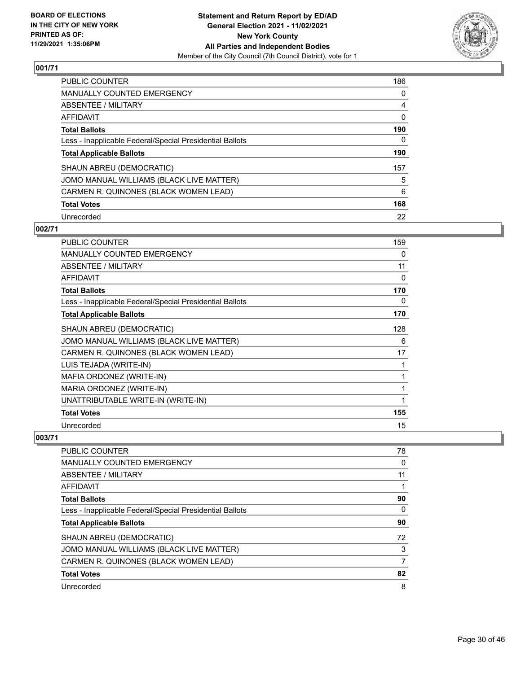

| <b>PUBLIC COUNTER</b>                                    | 186 |
|----------------------------------------------------------|-----|
| <b>MANUALLY COUNTED EMERGENCY</b>                        | 0   |
| ABSENTEE / MILITARY                                      | 4   |
| AFFIDAVIT                                                | 0   |
| <b>Total Ballots</b>                                     | 190 |
| Less - Inapplicable Federal/Special Presidential Ballots | 0   |
| <b>Total Applicable Ballots</b>                          | 190 |
| SHAUN ABREU (DEMOCRATIC)                                 | 157 |
| JOMO MANUAL WILLIAMS (BLACK LIVE MATTER)                 | 5   |
| CARMEN R. QUINONES (BLACK WOMEN LEAD)                    | 6   |
| <b>Total Votes</b>                                       | 168 |
| Unrecorded                                               | 22  |

# **002/71**

| <b>PUBLIC COUNTER</b>                                    | 159 |
|----------------------------------------------------------|-----|
| <b>MANUALLY COUNTED EMERGENCY</b>                        | 0   |
| ABSENTEE / MILITARY                                      | 11  |
| <b>AFFIDAVIT</b>                                         | 0   |
| <b>Total Ballots</b>                                     | 170 |
| Less - Inapplicable Federal/Special Presidential Ballots | 0   |
| <b>Total Applicable Ballots</b>                          | 170 |
| SHAUN ABREU (DEMOCRATIC)                                 | 128 |
| JOMO MANUAL WILLIAMS (BLACK LIVE MATTER)                 | 6   |
| CARMEN R. QUINONES (BLACK WOMEN LEAD)                    | 17  |
| LUIS TEJADA (WRITE-IN)                                   | 1   |
| MAFIA ORDONEZ (WRITE-IN)                                 | 1   |
| MARIA ORDONEZ (WRITE-IN)                                 | 1   |
| UNATTRIBUTABLE WRITE-IN (WRITE-IN)                       | 1   |
| <b>Total Votes</b>                                       | 155 |
| Unrecorded                                               | 15  |

| <b>PUBLIC COUNTER</b>                                    | 78 |
|----------------------------------------------------------|----|
| MANUALLY COUNTED EMERGENCY                               | 0  |
| ABSENTEE / MILITARY                                      | 11 |
| AFFIDAVIT                                                |    |
| <b>Total Ballots</b>                                     | 90 |
| Less - Inapplicable Federal/Special Presidential Ballots | 0  |
| <b>Total Applicable Ballots</b>                          | 90 |
| SHAUN ABREU (DEMOCRATIC)                                 | 72 |
| JOMO MANUAL WILLIAMS (BLACK LIVE MATTER)                 | 3  |
| CARMEN R. QUINONES (BLACK WOMEN LEAD)                    | 7  |
| <b>Total Votes</b>                                       | 82 |
| Unrecorded                                               | 8  |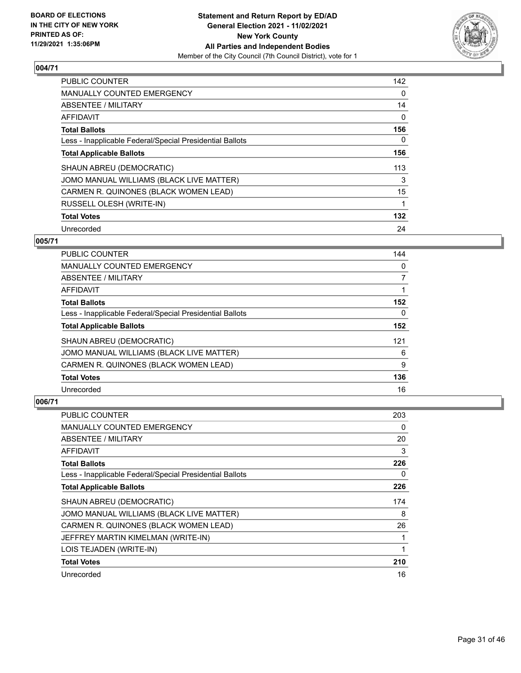

| <b>PUBLIC COUNTER</b>                                    | 142 |
|----------------------------------------------------------|-----|
| <b>MANUALLY COUNTED EMERGENCY</b>                        | 0   |
| ABSENTEE / MILITARY                                      | 14  |
| <b>AFFIDAVIT</b>                                         | 0   |
| <b>Total Ballots</b>                                     | 156 |
| Less - Inapplicable Federal/Special Presidential Ballots | 0   |
| <b>Total Applicable Ballots</b>                          | 156 |
| SHAUN ABREU (DEMOCRATIC)                                 | 113 |
| JOMO MANUAL WILLIAMS (BLACK LIVE MATTER)                 | 3   |
| CARMEN R. QUINONES (BLACK WOMEN LEAD)                    | 15  |
| RUSSELL OLESH (WRITE-IN)                                 |     |
| <b>Total Votes</b>                                       | 132 |
| Unrecorded                                               | 24  |

## **005/71**

| <b>PUBLIC COUNTER</b>                                    | 144      |
|----------------------------------------------------------|----------|
| MANUALLY COUNTED EMERGENCY                               | 0        |
| ABSENTEE / MILITARY                                      | 7        |
| <b>AFFIDAVIT</b>                                         |          |
| <b>Total Ballots</b>                                     | 152      |
| Less - Inapplicable Federal/Special Presidential Ballots | $\Omega$ |
| <b>Total Applicable Ballots</b>                          | 152      |
| SHAUN ABREU (DEMOCRATIC)                                 | 121      |
| JOMO MANUAL WILLIAMS (BLACK LIVE MATTER)                 | 6        |
| CARMEN R. QUINONES (BLACK WOMEN LEAD)                    | 9        |
| <b>Total Votes</b>                                       | 136      |
| Unrecorded                                               | 16       |

| PUBLIC COUNTER                                           | 203 |
|----------------------------------------------------------|-----|
| <b>MANUALLY COUNTED EMERGENCY</b>                        | 0   |
| ABSENTEE / MILITARY                                      | 20  |
| AFFIDAVIT                                                | 3   |
| <b>Total Ballots</b>                                     | 226 |
| Less - Inapplicable Federal/Special Presidential Ballots | 0   |
| <b>Total Applicable Ballots</b>                          | 226 |
| SHAUN ABREU (DEMOCRATIC)                                 | 174 |
| JOMO MANUAL WILLIAMS (BLACK LIVE MATTER)                 | 8   |
| CARMEN R. QUINONES (BLACK WOMEN LEAD)                    | 26  |
| JEFFREY MARTIN KIMELMAN (WRITE-IN)                       | 1   |
| LOIS TEJADEN (WRITE-IN)                                  | 1   |
| <b>Total Votes</b>                                       | 210 |
| Unrecorded                                               | 16  |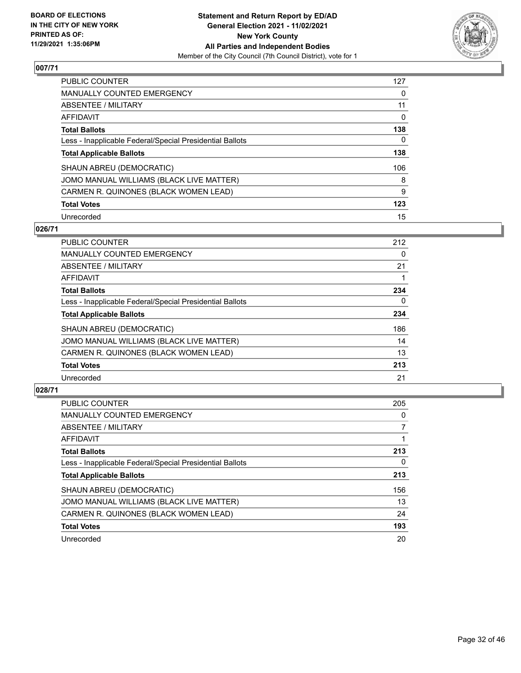

| PUBLIC COUNTER                                           | 127 |
|----------------------------------------------------------|-----|
| <b>MANUALLY COUNTED EMERGENCY</b>                        | 0   |
| ABSENTEE / MILITARY                                      | 11  |
| AFFIDAVIT                                                | 0   |
| <b>Total Ballots</b>                                     | 138 |
| Less - Inapplicable Federal/Special Presidential Ballots | 0   |
| <b>Total Applicable Ballots</b>                          | 138 |
| SHAUN ABREU (DEMOCRATIC)                                 | 106 |
| JOMO MANUAL WILLIAMS (BLACK LIVE MATTER)                 | 8   |
| CARMEN R. QUINONES (BLACK WOMEN LEAD)                    | 9   |
| <b>Total Votes</b>                                       | 123 |
| Unrecorded                                               | 15  |

#### **026/71**

| <b>PUBLIC COUNTER</b>                                    | 212      |
|----------------------------------------------------------|----------|
| <b>MANUALLY COUNTED EMERGENCY</b>                        | 0        |
| ABSENTEE / MILITARY                                      | 21       |
| <b>AFFIDAVIT</b>                                         |          |
| <b>Total Ballots</b>                                     | 234      |
| Less - Inapplicable Federal/Special Presidential Ballots | $\Omega$ |
| <b>Total Applicable Ballots</b>                          | 234      |
| SHAUN ABREU (DEMOCRATIC)                                 | 186      |
| JOMO MANUAL WILLIAMS (BLACK LIVE MATTER)                 | 14       |
| CARMEN R. QUINONES (BLACK WOMEN LEAD)                    | 13       |
| <b>Total Votes</b>                                       | 213      |
| Unrecorded                                               | 21       |

| <b>PUBLIC COUNTER</b>                                    | 205      |
|----------------------------------------------------------|----------|
| <b>MANUALLY COUNTED EMERGENCY</b>                        | $\Omega$ |
| ABSENTEE / MILITARY                                      |          |
| <b>AFFIDAVIT</b>                                         |          |
| <b>Total Ballots</b>                                     | 213      |
| Less - Inapplicable Federal/Special Presidential Ballots | 0        |
| <b>Total Applicable Ballots</b>                          | 213      |
| SHAUN ABREU (DEMOCRATIC)                                 | 156      |
| JOMO MANUAL WILLIAMS (BLACK LIVE MATTER)                 | 13       |
| CARMEN R. QUINONES (BLACK WOMEN LEAD)                    | 24       |
| <b>Total Votes</b>                                       | 193      |
| Unrecorded                                               | 20       |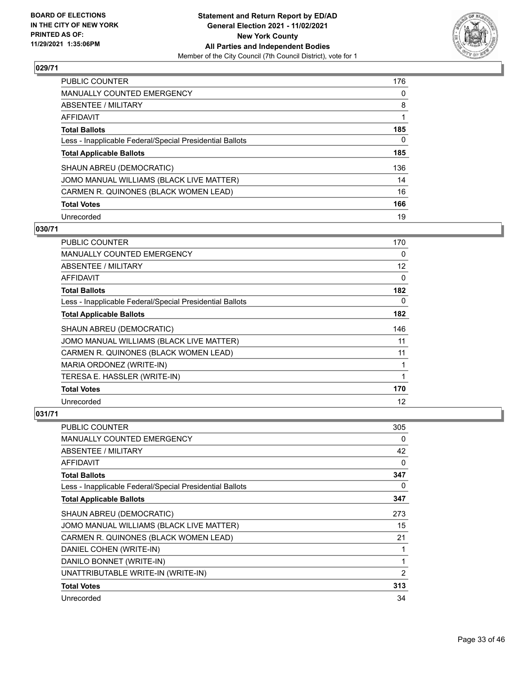

| PUBLIC COUNTER                                           | 176      |
|----------------------------------------------------------|----------|
| <b>MANUALLY COUNTED EMERGENCY</b>                        | $\Omega$ |
| <b>ABSENTEE / MILITARY</b>                               | 8        |
| AFFIDAVIT                                                |          |
| <b>Total Ballots</b>                                     | 185      |
| Less - Inapplicable Federal/Special Presidential Ballots | 0        |
| <b>Total Applicable Ballots</b>                          | 185      |
| SHAUN ABREU (DEMOCRATIC)                                 | 136      |
| JOMO MANUAL WILLIAMS (BLACK LIVE MATTER)                 | 14       |
| CARMEN R. QUINONES (BLACK WOMEN LEAD)                    | 16       |
| <b>Total Votes</b>                                       | 166      |
| Unrecorded                                               | 19       |

#### **030/71**

| PUBLIC COUNTER                                           | 170               |
|----------------------------------------------------------|-------------------|
| MANUALLY COUNTED EMERGENCY                               | 0                 |
| ABSENTEE / MILITARY                                      | $12 \overline{ }$ |
| AFFIDAVIT                                                | 0                 |
| <b>Total Ballots</b>                                     | 182               |
| Less - Inapplicable Federal/Special Presidential Ballots | 0                 |
| <b>Total Applicable Ballots</b>                          | 182               |
| SHAUN ABREU (DEMOCRATIC)                                 | 146               |
| JOMO MANUAL WILLIAMS (BLACK LIVE MATTER)                 | 11                |
| CARMEN R. QUINONES (BLACK WOMEN LEAD)                    | 11                |
| MARIA ORDONEZ (WRITE-IN)                                 | 1                 |
| TERESA E. HASSLER (WRITE-IN)                             | 1                 |
| <b>Total Votes</b>                                       | 170               |
| Unrecorded                                               | 12                |

| <b>PUBLIC COUNTER</b>                                    | 305            |
|----------------------------------------------------------|----------------|
| <b>MANUALLY COUNTED EMERGENCY</b>                        | 0              |
| ABSENTEE / MILITARY                                      | 42             |
| AFFIDAVIT                                                | 0              |
| <b>Total Ballots</b>                                     | 347            |
| Less - Inapplicable Federal/Special Presidential Ballots | 0              |
| <b>Total Applicable Ballots</b>                          | 347            |
| SHAUN ABREU (DEMOCRATIC)                                 | 273            |
| JOMO MANUAL WILLIAMS (BLACK LIVE MATTER)                 | 15             |
| CARMEN R. QUINONES (BLACK WOMEN LEAD)                    | 21             |
| DANIEL COHEN (WRITE-IN)                                  |                |
| DANILO BONNET (WRITE-IN)                                 |                |
| UNATTRIBUTABLE WRITE-IN (WRITE-IN)                       | $\overline{2}$ |
| <b>Total Votes</b>                                       | 313            |
| Unrecorded                                               | 34             |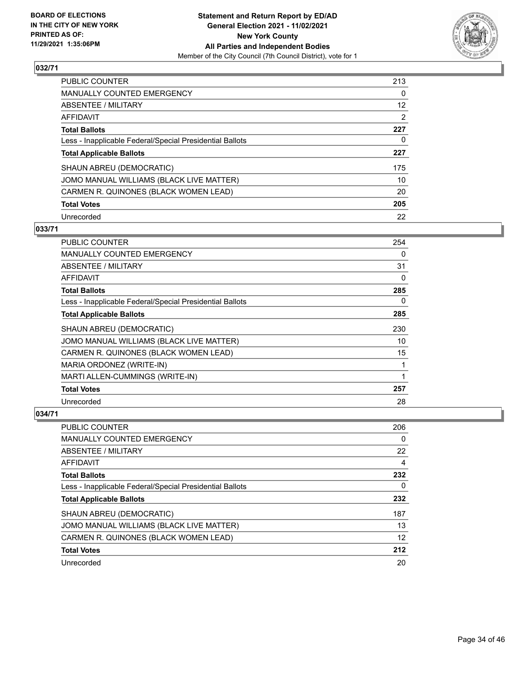

| <b>PUBLIC COUNTER</b>                                    | 213      |
|----------------------------------------------------------|----------|
| <b>MANUALLY COUNTED EMERGENCY</b>                        | $\Omega$ |
| ABSENTEE / MILITARY                                      | 12       |
| AFFIDAVIT                                                | 2        |
| <b>Total Ballots</b>                                     | 227      |
| Less - Inapplicable Federal/Special Presidential Ballots | 0        |
| <b>Total Applicable Ballots</b>                          | 227      |
| SHAUN ABREU (DEMOCRATIC)                                 | 175      |
| JOMO MANUAL WILLIAMS (BLACK LIVE MATTER)                 | 10       |
| CARMEN R. QUINONES (BLACK WOMEN LEAD)                    | 20       |
| <b>Total Votes</b>                                       | 205      |
| Unrecorded                                               | 22       |

#### **033/71**

| <b>PUBLIC COUNTER</b>                                    | 254 |
|----------------------------------------------------------|-----|
| <b>MANUALLY COUNTED EMERGENCY</b>                        | 0   |
| ABSENTEE / MILITARY                                      | 31  |
| AFFIDAVIT                                                | 0   |
| <b>Total Ballots</b>                                     | 285 |
| Less - Inapplicable Federal/Special Presidential Ballots | 0   |
| <b>Total Applicable Ballots</b>                          | 285 |
| SHAUN ABREU (DEMOCRATIC)                                 | 230 |
| JOMO MANUAL WILLIAMS (BLACK LIVE MATTER)                 | 10  |
| CARMEN R. QUINONES (BLACK WOMEN LEAD)                    | 15  |
| MARIA ORDONEZ (WRITE-IN)                                 | 1   |
| MARTI ALLEN-CUMMINGS (WRITE-IN)                          | 1   |
| <b>Total Votes</b>                                       | 257 |
| Unrecorded                                               | 28  |

| <b>PUBLIC COUNTER</b>                                    | 206 |
|----------------------------------------------------------|-----|
| <b>MANUALLY COUNTED EMERGENCY</b>                        | 0   |
| ABSENTEE / MILITARY                                      | 22  |
| AFFIDAVIT                                                | 4   |
| <b>Total Ballots</b>                                     | 232 |
| Less - Inapplicable Federal/Special Presidential Ballots | 0   |
| <b>Total Applicable Ballots</b>                          | 232 |
| SHAUN ABREU (DEMOCRATIC)                                 | 187 |
| JOMO MANUAL WILLIAMS (BLACK LIVE MATTER)                 | 13  |
| CARMEN R. QUINONES (BLACK WOMEN LEAD)                    | 12  |
| <b>Total Votes</b>                                       | 212 |
| Unrecorded                                               | 20  |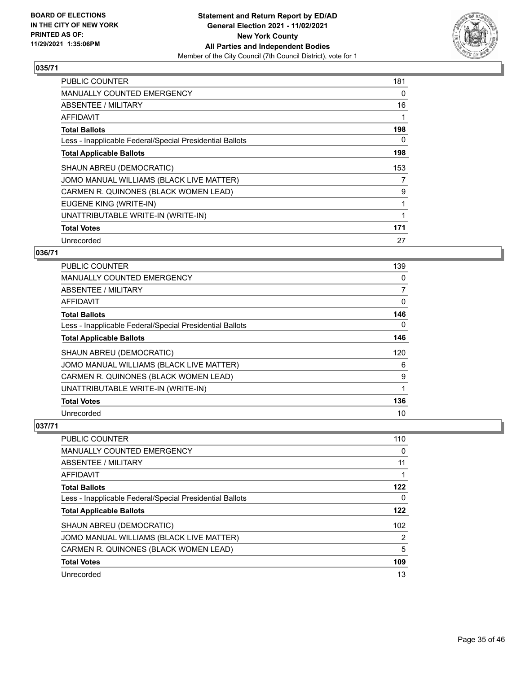

| <b>PUBLIC COUNTER</b>                                    | 181 |
|----------------------------------------------------------|-----|
| <b>MANUALLY COUNTED EMERGENCY</b>                        | 0   |
| <b>ABSENTEE / MILITARY</b>                               | 16  |
| AFFIDAVIT                                                | 1   |
| <b>Total Ballots</b>                                     | 198 |
| Less - Inapplicable Federal/Special Presidential Ballots | 0   |
| <b>Total Applicable Ballots</b>                          | 198 |
| SHAUN ABREU (DEMOCRATIC)                                 | 153 |
| JOMO MANUAL WILLIAMS (BLACK LIVE MATTER)                 | 7   |
| CARMEN R. QUINONES (BLACK WOMEN LEAD)                    | 9   |
| EUGENE KING (WRITE-IN)                                   | 1   |
| UNATTRIBUTABLE WRITE-IN (WRITE-IN)                       |     |
| <b>Total Votes</b>                                       | 171 |
| Unrecorded                                               | 27  |

## **036/71**

| PUBLIC COUNTER                                           | 139 |
|----------------------------------------------------------|-----|
| <b>MANUALLY COUNTED EMERGENCY</b>                        | 0   |
| ABSENTEE / MILITARY                                      | 7   |
| AFFIDAVIT                                                | 0   |
| <b>Total Ballots</b>                                     | 146 |
| Less - Inapplicable Federal/Special Presidential Ballots | 0   |
| <b>Total Applicable Ballots</b>                          | 146 |
| SHAUN ABREU (DEMOCRATIC)                                 | 120 |
| JOMO MANUAL WILLIAMS (BLACK LIVE MATTER)                 | 6   |
| CARMEN R. QUINONES (BLACK WOMEN LEAD)                    | 9   |
| UNATTRIBUTABLE WRITE-IN (WRITE-IN)                       | 1   |
| <b>Total Votes</b>                                       | 136 |
| Unrecorded                                               | 10  |

| <b>PUBLIC COUNTER</b>                                    | 110      |
|----------------------------------------------------------|----------|
| <b>MANUALLY COUNTED EMERGENCY</b>                        | $\Omega$ |
| ABSENTEE / MILITARY                                      | 11       |
| AFFIDAVIT                                                |          |
| <b>Total Ballots</b>                                     | 122      |
| Less - Inapplicable Federal/Special Presidential Ballots | 0        |
| <b>Total Applicable Ballots</b>                          | 122      |
| SHAUN ABREU (DEMOCRATIC)                                 | 102      |
| JOMO MANUAL WILLIAMS (BLACK LIVE MATTER)                 | 2        |
| CARMEN R. QUINONES (BLACK WOMEN LEAD)                    | 5        |
| <b>Total Votes</b>                                       | 109      |
| Unrecorded                                               | 13       |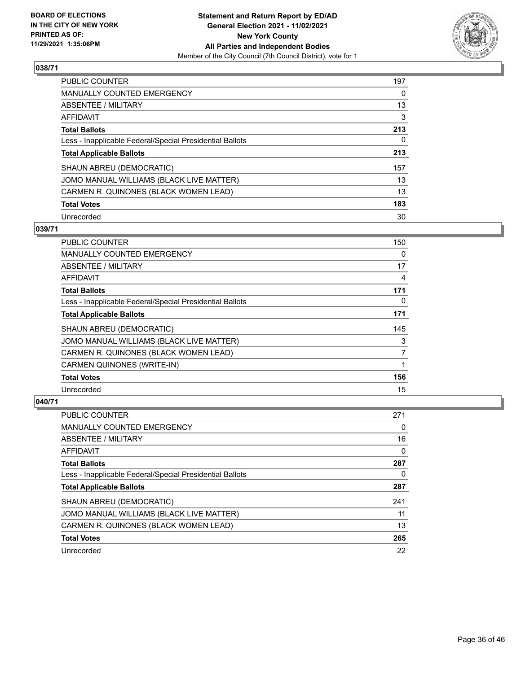

| PUBLIC COUNTER                                           | 197      |
|----------------------------------------------------------|----------|
| <b>MANUALLY COUNTED EMERGENCY</b>                        | $\Omega$ |
| <b>ABSENTEE / MILITARY</b>                               | 13       |
| AFFIDAVIT                                                | 3        |
| <b>Total Ballots</b>                                     | 213      |
| Less - Inapplicable Federal/Special Presidential Ballots | 0        |
| <b>Total Applicable Ballots</b>                          | 213      |
| SHAUN ABREU (DEMOCRATIC)                                 | 157      |
| JOMO MANUAL WILLIAMS (BLACK LIVE MATTER)                 | 13       |
| CARMEN R. QUINONES (BLACK WOMEN LEAD)                    | 13       |
| <b>Total Votes</b>                                       | 183      |
| Unrecorded                                               | 30       |

### **039/71**

| <b>PUBLIC COUNTER</b>                                    | 150            |
|----------------------------------------------------------|----------------|
| MANUALLY COUNTED EMERGENCY                               | $\Omega$       |
| ABSENTEE / MILITARY                                      | 17             |
| AFFIDAVIT                                                | $\overline{4}$ |
| <b>Total Ballots</b>                                     | 171            |
| Less - Inapplicable Federal/Special Presidential Ballots | 0              |
| <b>Total Applicable Ballots</b>                          | 171            |
| SHAUN ABREU (DEMOCRATIC)                                 | 145            |
| JOMO MANUAL WILLIAMS (BLACK LIVE MATTER)                 | 3              |
| CARMEN R. QUINONES (BLACK WOMEN LEAD)                    | 7              |
| CARMEN QUINONES (WRITE-IN)                               | 1              |
| <b>Total Votes</b>                                       | 156            |
| Unrecorded                                               | 15             |

| PUBLIC COUNTER                                           | 271 |
|----------------------------------------------------------|-----|
| <b>MANUALLY COUNTED EMERGENCY</b>                        | 0   |
| ABSENTEE / MILITARY                                      | 16  |
| AFFIDAVIT                                                | 0   |
| <b>Total Ballots</b>                                     | 287 |
| Less - Inapplicable Federal/Special Presidential Ballots | 0   |
| <b>Total Applicable Ballots</b>                          | 287 |
| SHAUN ABREU (DEMOCRATIC)                                 | 241 |
| JOMO MANUAL WILLIAMS (BLACK LIVE MATTER)                 | 11  |
|                                                          |     |
| CARMEN R. QUINONES (BLACK WOMEN LEAD)                    | 13  |
| <b>Total Votes</b>                                       | 265 |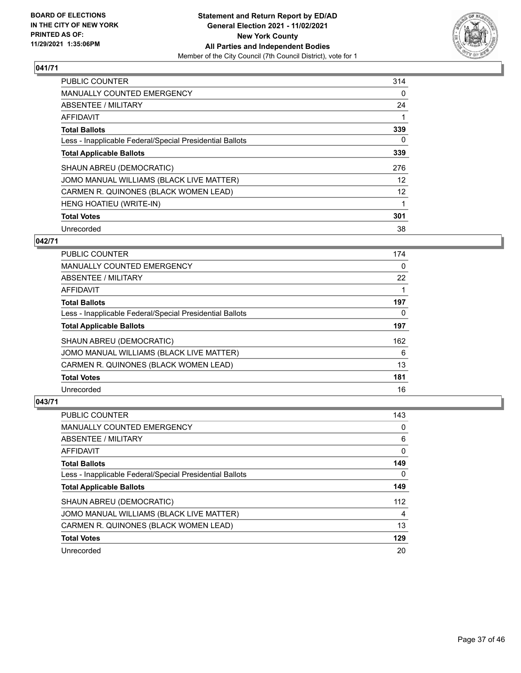

| PUBLIC COUNTER                                           | 314      |
|----------------------------------------------------------|----------|
| <b>MANUALLY COUNTED EMERGENCY</b>                        | 0        |
| ABSENTEE / MILITARY                                      | 24       |
| <b>AFFIDAVIT</b>                                         |          |
| <b>Total Ballots</b>                                     | 339      |
| Less - Inapplicable Federal/Special Presidential Ballots | $\Omega$ |
| <b>Total Applicable Ballots</b>                          | 339      |
| SHAUN ABREU (DEMOCRATIC)                                 | 276      |
| JOMO MANUAL WILLIAMS (BLACK LIVE MATTER)                 | 12       |
| CARMEN R. QUINONES (BLACK WOMEN LEAD)                    | 12       |
| HENG HOATIEU (WRITE-IN)                                  |          |
| <b>Total Votes</b>                                       | 301      |
| Unrecorded                                               | 38       |

## **042/71**

| <b>PUBLIC COUNTER</b>                                    | 174 |
|----------------------------------------------------------|-----|
| <b>MANUALLY COUNTED EMERGENCY</b>                        | 0   |
| ABSENTEE / MILITARY                                      | 22  |
| AFFIDAVIT                                                |     |
| <b>Total Ballots</b>                                     | 197 |
| Less - Inapplicable Federal/Special Presidential Ballots | 0   |
| <b>Total Applicable Ballots</b>                          | 197 |
| SHAUN ABREU (DEMOCRATIC)                                 | 162 |
| JOMO MANUAL WILLIAMS (BLACK LIVE MATTER)                 | 6   |
| CARMEN R. QUINONES (BLACK WOMEN LEAD)                    | 13  |
| <b>Total Votes</b>                                       | 181 |
| Unrecorded                                               | 16  |

| <b>PUBLIC COUNTER</b>                                    | 143 |
|----------------------------------------------------------|-----|
| <b>MANUALLY COUNTED EMERGENCY</b>                        | 0   |
| ABSENTEE / MILITARY                                      | 6   |
| AFFIDAVIT                                                | 0   |
| <b>Total Ballots</b>                                     | 149 |
| Less - Inapplicable Federal/Special Presidential Ballots | 0   |
| <b>Total Applicable Ballots</b>                          | 149 |
| SHAUN ABREU (DEMOCRATIC)                                 | 112 |
| JOMO MANUAL WILLIAMS (BLACK LIVE MATTER)                 | 4   |
| CARMEN R. QUINONES (BLACK WOMEN LEAD)                    | 13  |
| <b>Total Votes</b>                                       | 129 |
| Unrecorded                                               | 20  |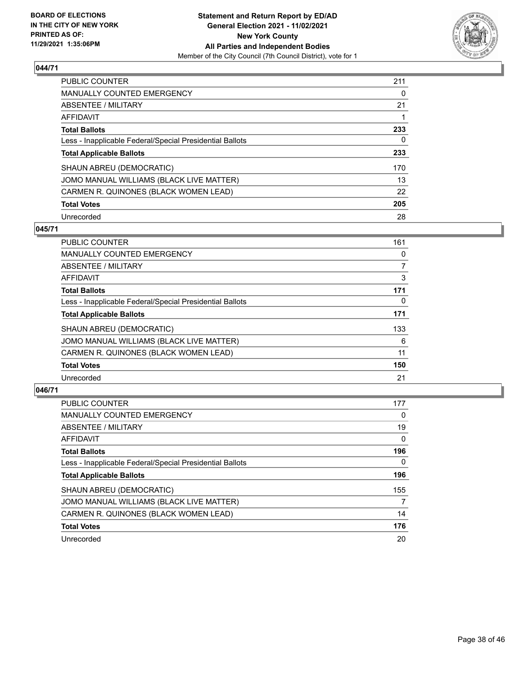

| PUBLIC COUNTER                                           | 211      |
|----------------------------------------------------------|----------|
| <b>MANUALLY COUNTED EMERGENCY</b>                        | $\Omega$ |
| ABSENTEE / MILITARY                                      | 21       |
| AFFIDAVIT                                                |          |
| <b>Total Ballots</b>                                     | 233      |
| Less - Inapplicable Federal/Special Presidential Ballots | 0        |
| <b>Total Applicable Ballots</b>                          | 233      |
| SHAUN ABREU (DEMOCRATIC)                                 | 170      |
| JOMO MANUAL WILLIAMS (BLACK LIVE MATTER)                 | 13       |
| CARMEN R. QUINONES (BLACK WOMEN LEAD)                    | 22       |
| <b>Total Votes</b>                                       | 205      |
| Unrecorded                                               | 28       |

#### **045/71**

| <b>PUBLIC COUNTER</b>                                    | 161      |
|----------------------------------------------------------|----------|
| <b>MANUALLY COUNTED EMERGENCY</b>                        | 0        |
| ABSENTEE / MILITARY                                      | 7        |
| <b>AFFIDAVIT</b>                                         | 3        |
| <b>Total Ballots</b>                                     | 171      |
| Less - Inapplicable Federal/Special Presidential Ballots | $\Omega$ |
| <b>Total Applicable Ballots</b>                          | 171      |
| SHAUN ABREU (DEMOCRATIC)                                 | 133      |
| JOMO MANUAL WILLIAMS (BLACK LIVE MATTER)                 | 6        |
| CARMEN R. QUINONES (BLACK WOMEN LEAD)                    | 11       |
| <b>Total Votes</b>                                       | 150      |
| Unrecorded                                               | 21       |

| <b>PUBLIC COUNTER</b>                                    | 177      |
|----------------------------------------------------------|----------|
| <b>MANUALLY COUNTED EMERGENCY</b>                        | 0        |
| ABSENTEE / MILITARY                                      | 19       |
| AFFIDAVIT                                                | $\Omega$ |
| <b>Total Ballots</b>                                     | 196      |
| Less - Inapplicable Federal/Special Presidential Ballots | 0        |
| <b>Total Applicable Ballots</b>                          | 196      |
| SHAUN ABREU (DEMOCRATIC)                                 | 155      |
| JOMO MANUAL WILLIAMS (BLACK LIVE MATTER)                 | 7        |
| CARMEN R. QUINONES (BLACK WOMEN LEAD)                    | 14       |
| <b>Total Votes</b>                                       | 176      |
| Unrecorded                                               | 20       |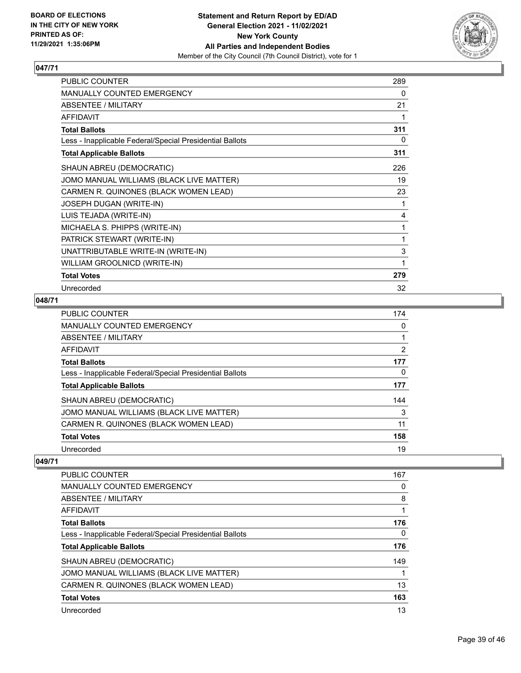

| PUBLIC COUNTER                                           | 289 |
|----------------------------------------------------------|-----|
| <b>MANUALLY COUNTED EMERGENCY</b>                        | 0   |
| ABSENTEE / MILITARY                                      | 21  |
| <b>AFFIDAVIT</b>                                         | 1   |
| <b>Total Ballots</b>                                     | 311 |
| Less - Inapplicable Federal/Special Presidential Ballots | 0   |
| <b>Total Applicable Ballots</b>                          | 311 |
| SHAUN ABREU (DEMOCRATIC)                                 | 226 |
| JOMO MANUAL WILLIAMS (BLACK LIVE MATTER)                 | 19  |
| CARMEN R. QUINONES (BLACK WOMEN LEAD)                    | 23  |
| JOSEPH DUGAN (WRITE-IN)                                  | 1   |
| LUIS TEJADA (WRITE-IN)                                   | 4   |
| MICHAELA S. PHIPPS (WRITE-IN)                            | 1   |
| PATRICK STEWART (WRITE-IN)                               | 1   |
| UNATTRIBUTABLE WRITE-IN (WRITE-IN)                       | 3   |
| WILLIAM GROOLNICD (WRITE-IN)                             | 1   |
| <b>Total Votes</b>                                       | 279 |
| Unrecorded                                               | 32  |

# **048/71**

| <b>PUBLIC COUNTER</b>                                    | 174 |
|----------------------------------------------------------|-----|
| <b>MANUALLY COUNTED EMERGENCY</b>                        | 0   |
| ABSENTEE / MILITARY                                      |     |
| <b>AFFIDAVIT</b>                                         | 2   |
| <b>Total Ballots</b>                                     | 177 |
| Less - Inapplicable Federal/Special Presidential Ballots | 0   |
| <b>Total Applicable Ballots</b>                          | 177 |
| SHAUN ABREU (DEMOCRATIC)                                 | 144 |
| JOMO MANUAL WILLIAMS (BLACK LIVE MATTER)                 | 3   |
| CARMEN R. QUINONES (BLACK WOMEN LEAD)                    | 11  |
| <b>Total Votes</b>                                       | 158 |
| Unrecorded                                               | 19  |

| <b>PUBLIC COUNTER</b>                                    | 167 |
|----------------------------------------------------------|-----|
| <b>MANUALLY COUNTED EMERGENCY</b>                        | 0   |
| ABSENTEE / MILITARY                                      | 8   |
| AFFIDAVIT                                                |     |
| <b>Total Ballots</b>                                     | 176 |
| Less - Inapplicable Federal/Special Presidential Ballots | 0   |
| <b>Total Applicable Ballots</b>                          | 176 |
| SHAUN ABREU (DEMOCRATIC)                                 | 149 |
| JOMO MANUAL WILLIAMS (BLACK LIVE MATTER)                 |     |
| CARMEN R. QUINONES (BLACK WOMEN LEAD)                    | 13  |
| <b>Total Votes</b>                                       | 163 |
| Unrecorded                                               | 13  |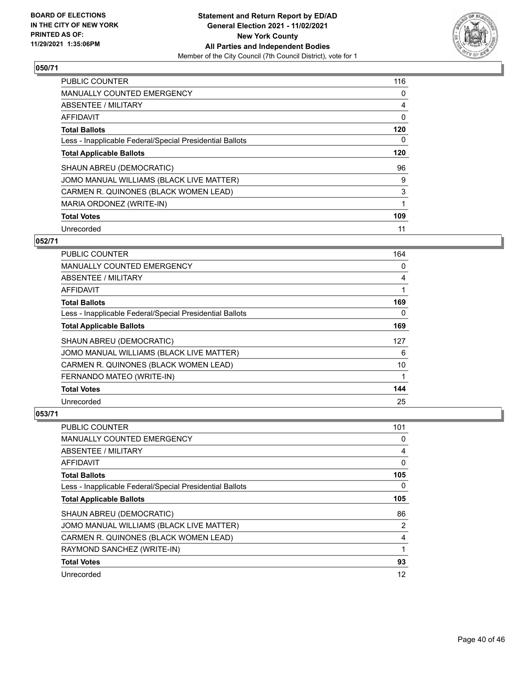

| PUBLIC COUNTER                                           | 116 |
|----------------------------------------------------------|-----|
| <b>MANUALLY COUNTED EMERGENCY</b>                        | 0   |
| ABSENTEE / MILITARY                                      | 4   |
| AFFIDAVIT                                                | 0   |
| <b>Total Ballots</b>                                     | 120 |
| Less - Inapplicable Federal/Special Presidential Ballots | 0   |
| <b>Total Applicable Ballots</b>                          | 120 |
| SHAUN ABREU (DEMOCRATIC)                                 | 96  |
| JOMO MANUAL WILLIAMS (BLACK LIVE MATTER)                 | 9   |
| CARMEN R. QUINONES (BLACK WOMEN LEAD)                    | 3   |
| MARIA ORDONEZ (WRITE-IN)                                 |     |
| <b>Total Votes</b>                                       | 109 |
| Unrecorded                                               | 11  |

## **052/71**

| <b>PUBLIC COUNTER</b>                                    | 164 |
|----------------------------------------------------------|-----|
| MANUALLY COUNTED EMERGENCY                               | 0   |
| ABSENTEE / MILITARY                                      | 4   |
| AFFIDAVIT                                                |     |
| <b>Total Ballots</b>                                     | 169 |
| Less - Inapplicable Federal/Special Presidential Ballots | 0   |
| <b>Total Applicable Ballots</b>                          | 169 |
| SHAUN ABREU (DEMOCRATIC)                                 | 127 |
| JOMO MANUAL WILLIAMS (BLACK LIVE MATTER)                 | 6   |
| CARMEN R. QUINONES (BLACK WOMEN LEAD)                    | 10  |
| FERNANDO MATEO (WRITE-IN)                                |     |
| <b>Total Votes</b>                                       | 144 |
| Unrecorded                                               | 25  |

| PUBLIC COUNTER                                           | 101            |
|----------------------------------------------------------|----------------|
| MANUALLY COUNTED EMERGENCY                               | 0              |
| ABSENTEE / MILITARY                                      | 4              |
| AFFIDAVIT                                                | 0              |
| <b>Total Ballots</b>                                     | 105            |
| Less - Inapplicable Federal/Special Presidential Ballots | $\Omega$       |
| <b>Total Applicable Ballots</b>                          | 105            |
| SHAUN ABREU (DEMOCRATIC)                                 | 86             |
| JOMO MANUAL WILLIAMS (BLACK LIVE MATTER)                 | $\overline{2}$ |
| CARMEN R. QUINONES (BLACK WOMEN LEAD)                    | 4              |
| RAYMOND SANCHEZ (WRITE-IN)                               | 1              |
| <b>Total Votes</b>                                       | 93             |
| Unrecorded                                               | 12             |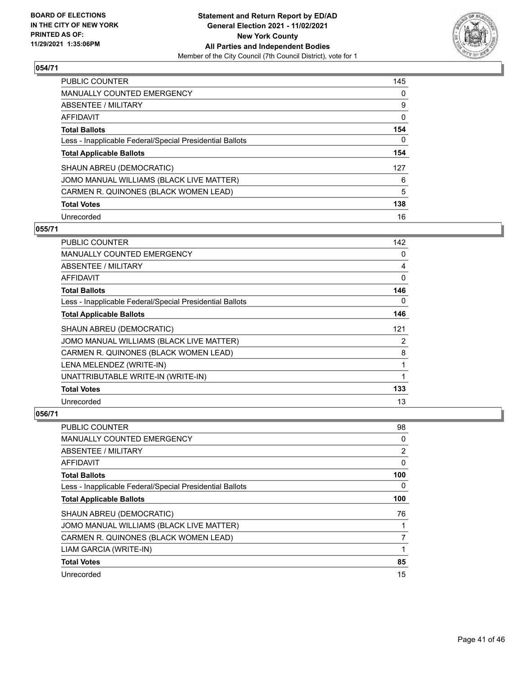

| PUBLIC COUNTER                                           | 145      |
|----------------------------------------------------------|----------|
| <b>MANUALLY COUNTED EMERGENCY</b>                        | $\Omega$ |
| ABSENTEE / MILITARY                                      | 9        |
| AFFIDAVIT                                                | 0        |
| <b>Total Ballots</b>                                     | 154      |
| Less - Inapplicable Federal/Special Presidential Ballots | 0        |
| <b>Total Applicable Ballots</b>                          | 154      |
| SHAUN ABREU (DEMOCRATIC)                                 | 127      |
| JOMO MANUAL WILLIAMS (BLACK LIVE MATTER)                 | 6        |
| CARMEN R. QUINONES (BLACK WOMEN LEAD)                    | 5        |
| <b>Total Votes</b>                                       | 138      |
| Unrecorded                                               | 16       |

### **055/71**

| PUBLIC COUNTER                                           | 142 |
|----------------------------------------------------------|-----|
| MANUALLY COUNTED EMERGENCY                               | 0   |
| ABSENTEE / MILITARY                                      | 4   |
| <b>AFFIDAVIT</b>                                         | 0   |
| <b>Total Ballots</b>                                     | 146 |
| Less - Inapplicable Federal/Special Presidential Ballots | 0   |
| <b>Total Applicable Ballots</b>                          | 146 |
| SHAUN ABREU (DEMOCRATIC)                                 | 121 |
| JOMO MANUAL WILLIAMS (BLACK LIVE MATTER)                 | 2   |
| CARMEN R. QUINONES (BLACK WOMEN LEAD)                    | 8   |
| LENA MELENDEZ (WRITE-IN)                                 | 1   |
| UNATTRIBUTABLE WRITE-IN (WRITE-IN)                       | 1   |
| <b>Total Votes</b>                                       | 133 |
| Unrecorded                                               | 13  |

| PUBLIC COUNTER                                           | 98  |
|----------------------------------------------------------|-----|
| <b>MANUALLY COUNTED EMERGENCY</b>                        | 0   |
| ABSENTEE / MILITARY                                      | 2   |
| AFFIDAVIT                                                | 0   |
| <b>Total Ballots</b>                                     | 100 |
| Less - Inapplicable Federal/Special Presidential Ballots | 0   |
| <b>Total Applicable Ballots</b>                          | 100 |
| SHAUN ABREU (DEMOCRATIC)                                 | 76  |
| JOMO MANUAL WILLIAMS (BLACK LIVE MATTER)                 |     |
| CARMEN R. QUINONES (BLACK WOMEN LEAD)                    | 7   |
| LIAM GARCIA (WRITE-IN)                                   |     |
| <b>Total Votes</b>                                       | 85  |
| Unrecorded                                               | 15  |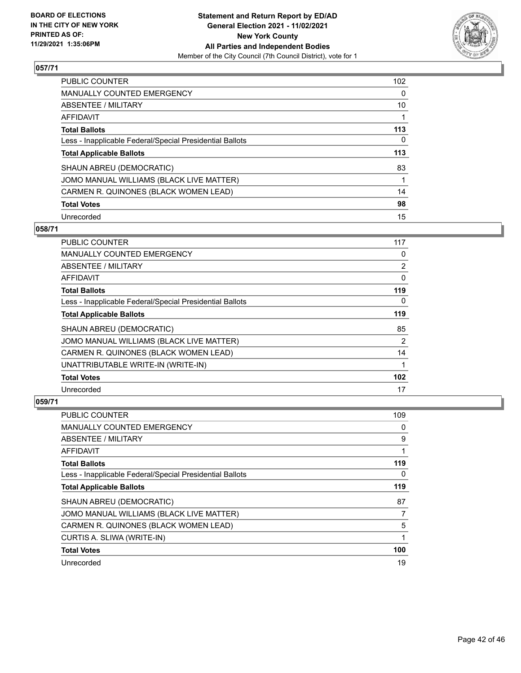

| PUBLIC COUNTER                                           | 102      |
|----------------------------------------------------------|----------|
| MANUALLY COUNTED EMERGENCY                               | 0        |
| ABSENTEE / MILITARY                                      | 10       |
| AFFIDAVIT                                                |          |
| <b>Total Ballots</b>                                     | 113      |
| Less - Inapplicable Federal/Special Presidential Ballots | $\Omega$ |
| <b>Total Applicable Ballots</b>                          | 113      |
| SHAUN ABREU (DEMOCRATIC)                                 | 83       |
| JOMO MANUAL WILLIAMS (BLACK LIVE MATTER)                 | 1        |
| CARMEN R. QUINONES (BLACK WOMEN LEAD)                    | 14       |
| <b>Total Votes</b>                                       | 98       |
| Unrecorded                                               | 15       |

### **058/71**

| <b>PUBLIC COUNTER</b>                                    | 117            |
|----------------------------------------------------------|----------------|
| <b>MANUALLY COUNTED EMERGENCY</b>                        | 0              |
| ABSENTEE / MILITARY                                      | 2              |
| AFFIDAVIT                                                | 0              |
| <b>Total Ballots</b>                                     | 119            |
| Less - Inapplicable Federal/Special Presidential Ballots | $\Omega$       |
| <b>Total Applicable Ballots</b>                          | 119            |
| SHAUN ABREU (DEMOCRATIC)                                 | 85             |
| JOMO MANUAL WILLIAMS (BLACK LIVE MATTER)                 | $\overline{2}$ |
| CARMEN R. QUINONES (BLACK WOMEN LEAD)                    | 14             |
| UNATTRIBUTABLE WRITE-IN (WRITE-IN)                       | 1              |
| <b>Total Votes</b>                                       | 102            |
| Unrecorded                                               | 17             |

| PUBLIC COUNTER                                           | 109 |
|----------------------------------------------------------|-----|
| <b>MANUALLY COUNTED EMERGENCY</b>                        | 0   |
| ABSENTEE / MILITARY                                      | 9   |
| AFFIDAVIT                                                | 1   |
| <b>Total Ballots</b>                                     | 119 |
| Less - Inapplicable Federal/Special Presidential Ballots | 0   |
| <b>Total Applicable Ballots</b>                          | 119 |
| SHAUN ABREU (DEMOCRATIC)                                 | 87  |
| JOMO MANUAL WILLIAMS (BLACK LIVE MATTER)                 | 7   |
| CARMEN R. QUINONES (BLACK WOMEN LEAD)                    | 5   |
| CURTIS A. SLIWA (WRITE-IN)                               | 1   |
| <b>Total Votes</b>                                       | 100 |
| Unrecorded                                               | 19  |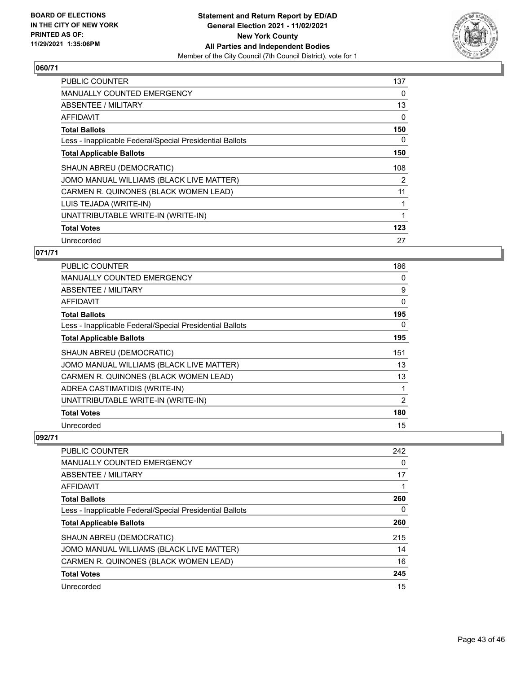

| PUBLIC COUNTER                                           | 137 |
|----------------------------------------------------------|-----|
| <b>MANUALLY COUNTED EMERGENCY</b>                        | 0   |
| <b>ABSENTEE / MILITARY</b>                               | 13  |
| AFFIDAVIT                                                | 0   |
| <b>Total Ballots</b>                                     | 150 |
| Less - Inapplicable Federal/Special Presidential Ballots | 0   |
| <b>Total Applicable Ballots</b>                          | 150 |
| SHAUN ABREU (DEMOCRATIC)                                 | 108 |
| JOMO MANUAL WILLIAMS (BLACK LIVE MATTER)                 | 2   |
| CARMEN R. QUINONES (BLACK WOMEN LEAD)                    | 11  |
| LUIS TEJADA (WRITE-IN)                                   | 1   |
| UNATTRIBUTABLE WRITE-IN (WRITE-IN)                       |     |
| <b>Total Votes</b>                                       | 123 |
| Unrecorded                                               | 27  |

# **071/71**

| <b>PUBLIC COUNTER</b>                                    | 186            |
|----------------------------------------------------------|----------------|
| MANUALLY COUNTED EMERGENCY                               | 0              |
| ABSENTEE / MILITARY                                      | 9              |
| <b>AFFIDAVIT</b>                                         | $\Omega$       |
| <b>Total Ballots</b>                                     | 195            |
| Less - Inapplicable Federal/Special Presidential Ballots | 0              |
| <b>Total Applicable Ballots</b>                          | 195            |
| SHAUN ABREU (DEMOCRATIC)                                 | 151            |
| JOMO MANUAL WILLIAMS (BLACK LIVE MATTER)                 | 13             |
| CARMEN R. QUINONES (BLACK WOMEN LEAD)                    | 13             |
| ADREA CASTIMATIDIS (WRITE-IN)                            |                |
| UNATTRIBUTABLE WRITE-IN (WRITE-IN)                       | $\overline{2}$ |
| <b>Total Votes</b>                                       | 180            |
| Unrecorded                                               | 15             |

| <b>PUBLIC COUNTER</b>                                    | 242 |
|----------------------------------------------------------|-----|
| MANUALLY COUNTED EMERGENCY                               | 0   |
| ABSENTEE / MILITARY                                      | 17  |
| AFFIDAVIT                                                |     |
| <b>Total Ballots</b>                                     | 260 |
| Less - Inapplicable Federal/Special Presidential Ballots | 0   |
| <b>Total Applicable Ballots</b>                          | 260 |
| SHAUN ABREU (DEMOCRATIC)                                 | 215 |
| JOMO MANUAL WILLIAMS (BLACK LIVE MATTER)                 | 14  |
| CARMEN R. QUINONES (BLACK WOMEN LEAD)                    | 16  |
| <b>Total Votes</b>                                       | 245 |
| Unrecorded                                               | 15  |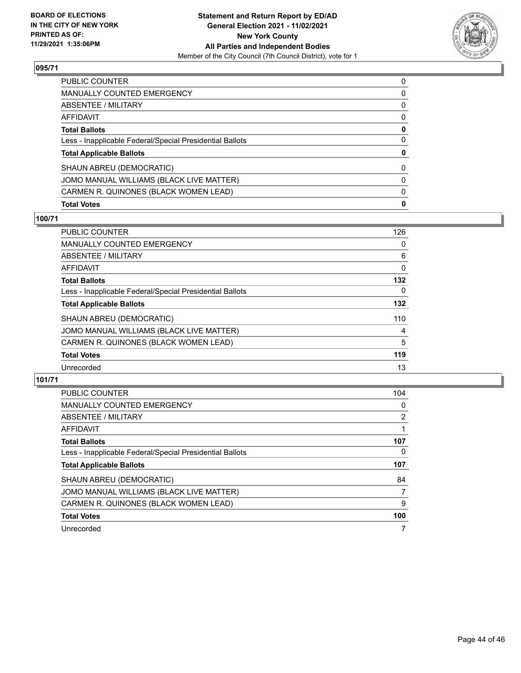

| <b>Total Votes</b>                                       | $\mathbf 0$  |
|----------------------------------------------------------|--------------|
| CARMEN R. QUINONES (BLACK WOMEN LEAD)                    | $\mathbf{0}$ |
| JOMO MANUAL WILLIAMS (BLACK LIVE MATTER)                 | $\mathbf{0}$ |
| SHAUN ABREU (DEMOCRATIC)                                 | $\mathbf{0}$ |
| <b>Total Applicable Ballots</b>                          | 0            |
| Less - Inapplicable Federal/Special Presidential Ballots | $\mathbf{0}$ |
| Total Ballots                                            | 0            |
| AFFIDAVIT                                                | $\mathbf{0}$ |
| ABSENTEE / MILITARY                                      | $\mathbf{0}$ |
| MANUALLY COUNTED EMERGENCY                               | 0            |
| PUBLIC COUNTER                                           | $\Omega$     |

## **100/71**

| 126      |
|----------|
| $\Omega$ |
| 6        |
| 0        |
| 132      |
| $\Omega$ |
| 132      |
| 110      |
| 4        |
| 5        |
| 119      |
| 13       |
|          |

| <b>PUBLIC COUNTER</b>                                    | 104 |
|----------------------------------------------------------|-----|
| <b>MANUALLY COUNTED EMERGENCY</b>                        | 0   |
| ABSENTEE / MILITARY                                      | 2   |
| AFFIDAVIT                                                |     |
| <b>Total Ballots</b>                                     | 107 |
| Less - Inapplicable Federal/Special Presidential Ballots | 0   |
| <b>Total Applicable Ballots</b>                          | 107 |
| SHAUN ABREU (DEMOCRATIC)                                 | 84  |
| JOMO MANUAL WILLIAMS (BLACK LIVE MATTER)                 | 7   |
| CARMEN R. QUINONES (BLACK WOMEN LEAD)                    | 9   |
| <b>Total Votes</b>                                       | 100 |
| Unrecorded                                               |     |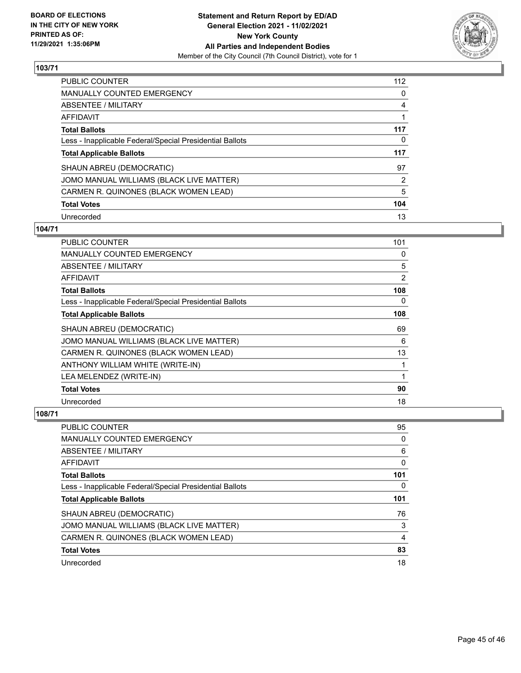

| <b>PUBLIC COUNTER</b>                                    | 112 |
|----------------------------------------------------------|-----|
| MANUALLY COUNTED EMERGENCY                               | 0   |
| ABSENTEE / MILITARY                                      | 4   |
| AFFIDAVIT                                                |     |
| <b>Total Ballots</b>                                     | 117 |
| Less - Inapplicable Federal/Special Presidential Ballots | 0   |
| <b>Total Applicable Ballots</b>                          | 117 |
| SHAUN ABREU (DEMOCRATIC)                                 | 97  |
| JOMO MANUAL WILLIAMS (BLACK LIVE MATTER)                 | 2   |
| CARMEN R. QUINONES (BLACK WOMEN LEAD)                    | 5   |
| <b>Total Votes</b>                                       | 104 |
| Unrecorded                                               | 13  |

#### **104/71**

| <b>PUBLIC COUNTER</b>                                    | 101 |
|----------------------------------------------------------|-----|
| <b>MANUALLY COUNTED EMERGENCY</b>                        | 0   |
| ABSENTEE / MILITARY                                      | 5   |
| AFFIDAVIT                                                | 2   |
| <b>Total Ballots</b>                                     | 108 |
| Less - Inapplicable Federal/Special Presidential Ballots | 0   |
| <b>Total Applicable Ballots</b>                          | 108 |
| SHAUN ABREU (DEMOCRATIC)                                 | 69  |
| JOMO MANUAL WILLIAMS (BLACK LIVE MATTER)                 | 6   |
| CARMEN R. QUINONES (BLACK WOMEN LEAD)                    | 13  |
| ANTHONY WILLIAM WHITE (WRITE-IN)                         | 1   |
| LEA MELENDEZ (WRITE-IN)                                  | 1   |
| <b>Total Votes</b>                                       | 90  |
| Unrecorded                                               | 18  |

| <b>PUBLIC COUNTER</b>                                    | 95  |
|----------------------------------------------------------|-----|
| MANUALLY COUNTED EMERGENCY                               | 0   |
| ABSENTEE / MILITARY                                      | 6   |
| AFFIDAVIT                                                | 0   |
| <b>Total Ballots</b>                                     | 101 |
| Less - Inapplicable Federal/Special Presidential Ballots | 0   |
|                                                          |     |
| <b>Total Applicable Ballots</b>                          | 101 |
| SHAUN ABREU (DEMOCRATIC)                                 | 76  |
| JOMO MANUAL WILLIAMS (BLACK LIVE MATTER)                 | 3   |
| CARMEN R. QUINONES (BLACK WOMEN LEAD)                    | 4   |
| <b>Total Votes</b>                                       | 83  |